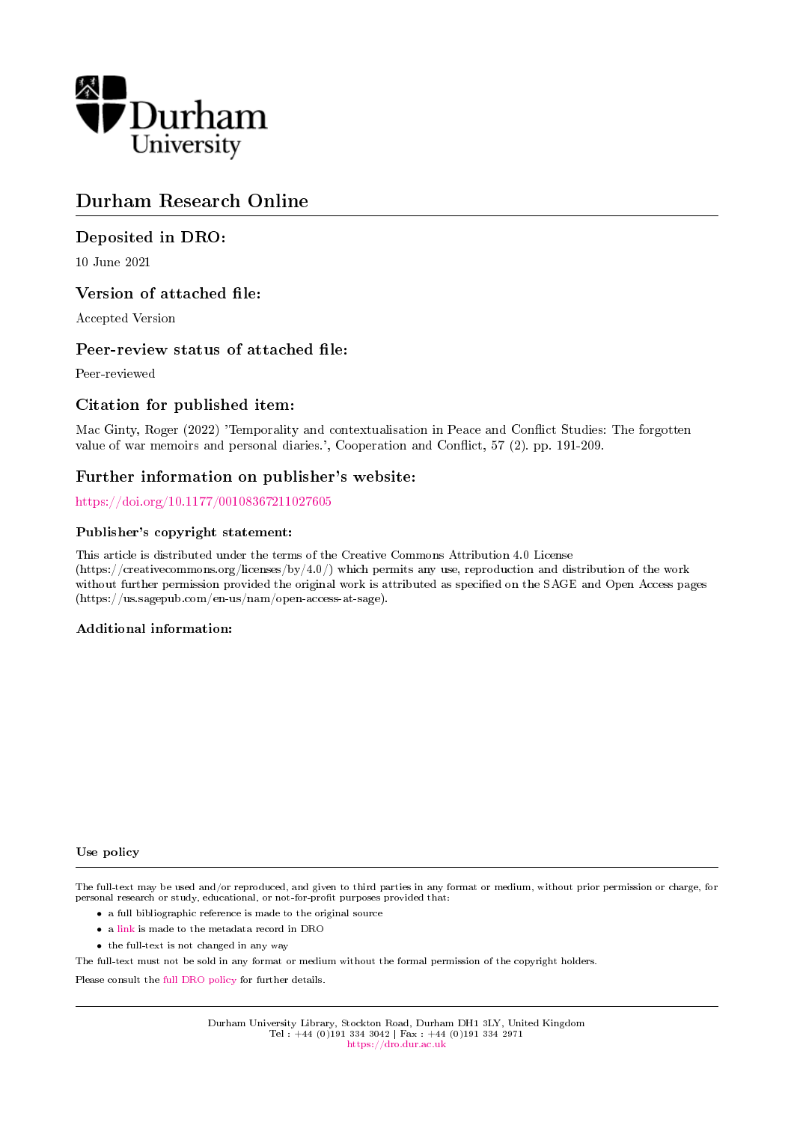

# Durham Research Online

# Deposited in DRO:

10 June 2021

### Version of attached file:

Accepted Version

### Peer-review status of attached file:

Peer-reviewed

### Citation for published item:

Mac Ginty, Roger (2022) 'Temporality and contextualisation in Peace and Conflict Studies: The forgotten value of war memoirs and personal diaries.', Cooperation and Conflict, 57 (2). pp. 191-209.

### Further information on publisher's website:

<https://doi.org/10.1177/00108367211027605>

### Publisher's copyright statement:

This article is distributed under the terms of the Creative Commons Attribution 4.0 License (https://creativecommons.org/licenses/by/4.0/) which permits any use, reproduction and distribution of the work without further permission provided the original work is attributed as specified on the SAGE and Open Access pages (https://us.sagepub.com/en-us/nam/open-access-at-sage).

### Additional information:

#### Use policy

The full-text may be used and/or reproduced, and given to third parties in any format or medium, without prior permission or charge, for personal research or study, educational, or not-for-profit purposes provided that:

- a full bibliographic reference is made to the original source
- a [link](http://dro.dur.ac.uk/33155/) is made to the metadata record in DRO
- the full-text is not changed in any way

The full-text must not be sold in any format or medium without the formal permission of the copyright holders.

Please consult the [full DRO policy](https://dro.dur.ac.uk/policies/usepolicy.pdf) for further details.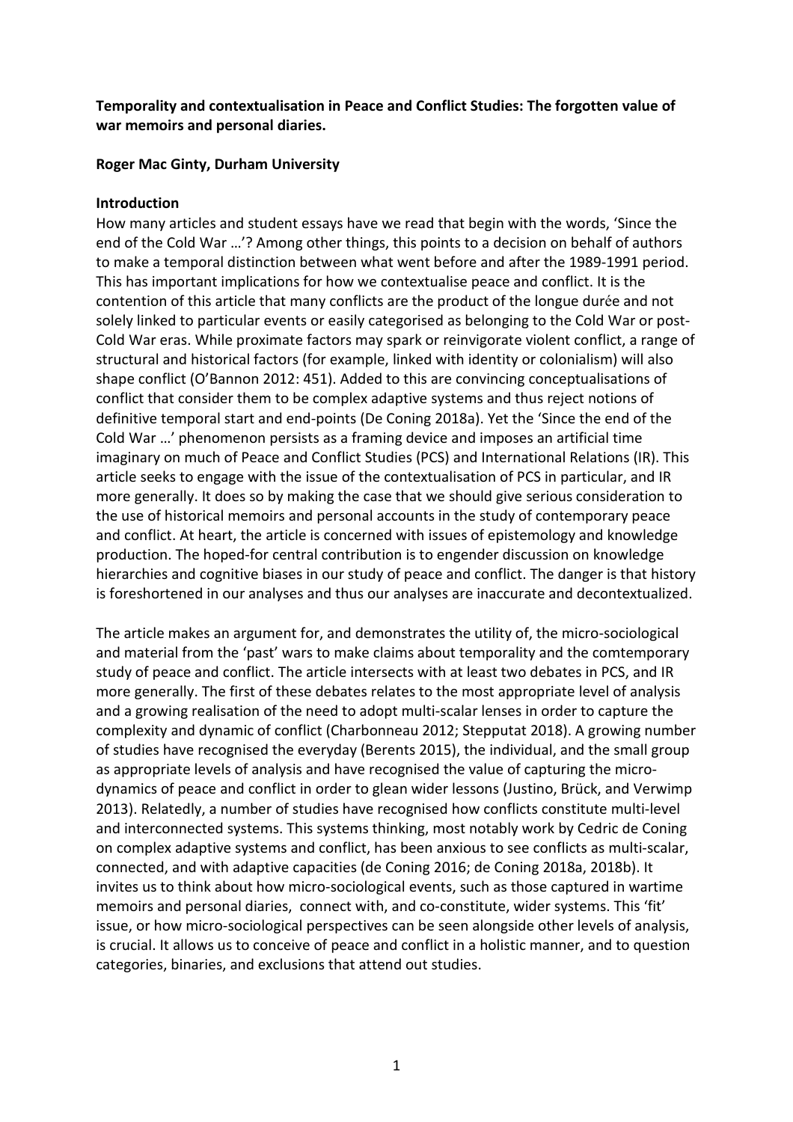**Temporality and contextualisation in Peace and Conflict Studies: The forgotten value of war memoirs and personal diaries.** 

# **Roger Mac Ginty, Durham University**

# **Introduction**

How many articles and student essays have we read that begin with the words, 'Since the end of the Cold War …'? Among other things, this points to a decision on behalf of authors to make a temporal distinction between what went before and after the 1989-1991 period. This has important implications for how we contextualise peace and conflict. It is the contention of this article that many conflicts are the product of the longue durée and not solely linked to particular events or easily categorised as belonging to the Cold War or post-Cold War eras. While proximate factors may spark or reinvigorate violent conflict, a range of structural and historical factors (for example, linked with identity or colonialism) will also shape conflict (O'Bannon 2012: 451). Added to this are convincing conceptualisations of conflict that consider them to be complex adaptive systems and thus reject notions of definitive temporal start and end-points (De Coning 2018a). Yet the 'Since the end of the Cold War …' phenomenon persists as a framing device and imposes an artificial time imaginary on much of Peace and Conflict Studies (PCS) and International Relations (IR). This article seeks to engage with the issue of the contextualisation of PCS in particular, and IR more generally. It does so by making the case that we should give serious consideration to the use of historical memoirs and personal accounts in the study of contemporary peace and conflict. At heart, the article is concerned with issues of epistemology and knowledge production. The hoped-for central contribution is to engender discussion on knowledge hierarchies and cognitive biases in our study of peace and conflict. The danger is that history is foreshortened in our analyses and thus our analyses are inaccurate and decontextualized.

The article makes an argument for, and demonstrates the utility of, the micro-sociological and material from the 'past' wars to make claims about temporality and the comtemporary study of peace and conflict. The article intersects with at least two debates in PCS, and IR more generally. The first of these debates relates to the most appropriate level of analysis and a growing realisation of the need to adopt multi-scalar lenses in order to capture the complexity and dynamic of conflict (Charbonneau 2012; Stepputat 2018). A growing number of studies have recognised the everyday (Berents 2015), the individual, and the small group as appropriate levels of analysis and have recognised the value of capturing the microdynamics of peace and conflict in order to glean wider lessons (Justino, Brück, and Verwimp 2013). Relatedly, a number of studies have recognised how conflicts constitute multi-level and interconnected systems. This systems thinking, most notably work by Cedric de Coning on complex adaptive systems and conflict, has been anxious to see conflicts as multi-scalar, connected, and with adaptive capacities (de Coning 2016; de Coning 2018a, 2018b). It invites us to think about how micro-sociological events, such as those captured in wartime memoirs and personal diaries, connect with, and co-constitute, wider systems. This 'fit' issue, or how micro-sociological perspectives can be seen alongside other levels of analysis, is crucial. It allows us to conceive of peace and conflict in a holistic manner, and to question categories, binaries, and exclusions that attend out studies.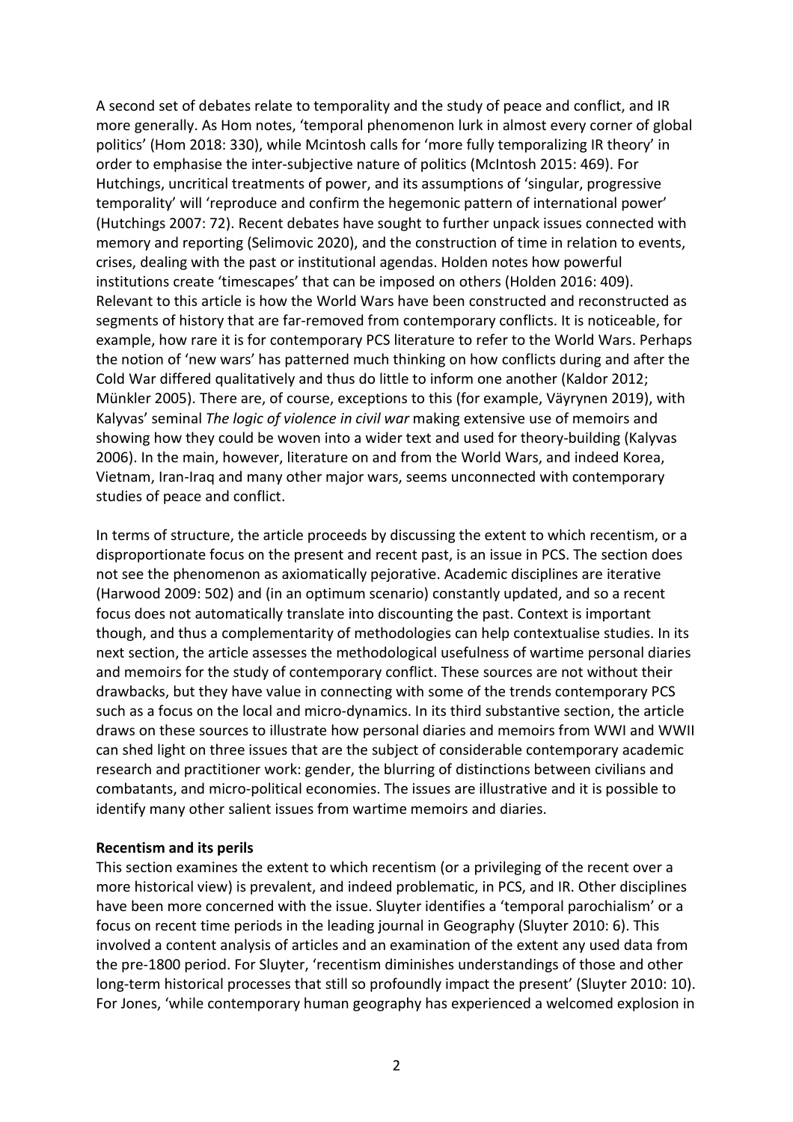A second set of debates relate to temporality and the study of peace and conflict, and IR more generally. As Hom notes, 'temporal phenomenon lurk in almost every corner of global politics' (Hom 2018: 330), while Mcintosh calls for 'more fully temporalizing IR theory' in order to emphasise the inter-subjective nature of politics (McIntosh 2015: 469). For Hutchings, uncritical treatments of power, and its assumptions of 'singular, progressive temporality' will 'reproduce and confirm the hegemonic pattern of international power' (Hutchings 2007: 72). Recent debates have sought to further unpack issues connected with memory and reporting (Selimovic 2020), and the construction of time in relation to events, crises, dealing with the past or institutional agendas. Holden notes how powerful institutions create 'timescapes' that can be imposed on others (Holden 2016: 409). Relevant to this article is how the World Wars have been constructed and reconstructed as segments of history that are far-removed from contemporary conflicts. It is noticeable, for example, how rare it is for contemporary PCS literature to refer to the World Wars. Perhaps the notion of 'new wars' has patterned much thinking on how conflicts during and after the Cold War differed qualitatively and thus do little to inform one another (Kaldor 2012; Münkler 2005). There are, of course, exceptions to this (for example, Väyrynen 2019), with Kalyvas' seminal *The logic of violence in civil war* making extensive use of memoirs and showing how they could be woven into a wider text and used for theory-building (Kalyvas 2006). In the main, however, literature on and from the World Wars, and indeed Korea, Vietnam, Iran-Iraq and many other major wars, seems unconnected with contemporary studies of peace and conflict.

In terms of structure, the article proceeds by discussing the extent to which recentism, or a disproportionate focus on the present and recent past, is an issue in PCS. The section does not see the phenomenon as axiomatically pejorative. Academic disciplines are iterative (Harwood 2009: 502) and (in an optimum scenario) constantly updated, and so a recent focus does not automatically translate into discounting the past. Context is important though, and thus a complementarity of methodologies can help contextualise studies. In its next section, the article assesses the methodological usefulness of wartime personal diaries and memoirs for the study of contemporary conflict. These sources are not without their drawbacks, but they have value in connecting with some of the trends contemporary PCS such as a focus on the local and micro-dynamics. In its third substantive section, the article draws on these sources to illustrate how personal diaries and memoirs from WWI and WWII can shed light on three issues that are the subject of considerable contemporary academic research and practitioner work: gender, the blurring of distinctions between civilians and combatants, and micro-political economies. The issues are illustrative and it is possible to identify many other salient issues from wartime memoirs and diaries.

### **Recentism and its perils**

This section examines the extent to which recentism (or a privileging of the recent over a more historical view) is prevalent, and indeed problematic, in PCS, and IR. Other disciplines have been more concerned with the issue. Sluyter identifies a 'temporal parochialism' or a focus on recent time periods in the leading journal in Geography (Sluyter 2010: 6). This involved a content analysis of articles and an examination of the extent any used data from the pre-1800 period. For Sluyter, 'recentism diminishes understandings of those and other long-term historical processes that still so profoundly impact the present' (Sluyter 2010: 10). For Jones, 'while contemporary human geography has experienced a welcomed explosion in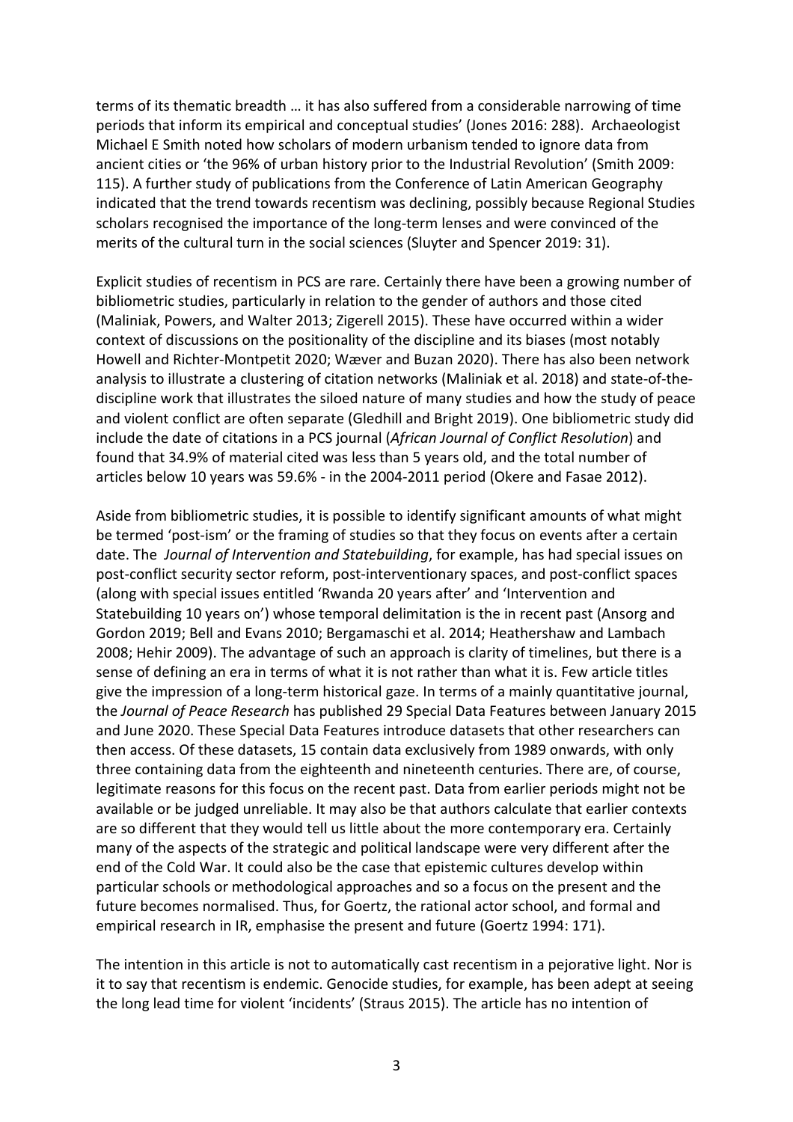terms of its thematic breadth … it has also suffered from a considerable narrowing of time periods that inform its empirical and conceptual studies' (Jones 2016: 288). Archaeologist Michael E Smith noted how scholars of modern urbanism tended to ignore data from ancient cities or 'the 96% of urban history prior to the Industrial Revolution' (Smith 2009: 115). A further study of publications from the Conference of Latin American Geography indicated that the trend towards recentism was declining, possibly because Regional Studies scholars recognised the importance of the long-term lenses and were convinced of the merits of the cultural turn in the social sciences (Sluyter and Spencer 2019: 31).

Explicit studies of recentism in PCS are rare. Certainly there have been a growing number of bibliometric studies, particularly in relation to the gender of authors and those cited (Maliniak, Powers, and Walter 2013; Zigerell 2015). These have occurred within a wider context of discussions on the positionality of the discipline and its biases (most notably Howell and Richter-Montpetit 2020; Wæver and Buzan 2020). There has also been network analysis to illustrate a clustering of citation networks (Maliniak et al. 2018) and state-of-thediscipline work that illustrates the siloed nature of many studies and how the study of peace and violent conflict are often separate (Gledhill and Bright 2019). One bibliometric study did include the date of citations in a PCS journal (*African Journal of Conflict Resolution*) and found that 34.9% of material cited was less than 5 years old, and the total number of articles below 10 years was 59.6% - in the 2004-2011 period (Okere and Fasae 2012).

Aside from bibliometric studies, it is possible to identify significant amounts of what might be termed 'post-ism' or the framing of studies so that they focus on events after a certain date. The *Journal of Intervention and Statebuilding*, for example, has had special issues on post-conflict security sector reform, post-interventionary spaces, and post-conflict spaces (along with special issues entitled 'Rwanda 20 years after' and 'Intervention and Statebuilding 10 years on') whose temporal delimitation is the in recent past (Ansorg and Gordon 2019; Bell and Evans 2010; Bergamaschi et al. 2014; Heathershaw and Lambach 2008; Hehir 2009). The advantage of such an approach is clarity of timelines, but there is a sense of defining an era in terms of what it is not rather than what it is. Few article titles give the impression of a long-term historical gaze. In terms of a mainly quantitative journal, the *Journal of Peace Research* has published 29 Special Data Features between January 2015 and June 2020. These Special Data Features introduce datasets that other researchers can then access. Of these datasets, 15 contain data exclusively from 1989 onwards, with only three containing data from the eighteenth and nineteenth centuries. There are, of course, legitimate reasons for this focus on the recent past. Data from earlier periods might not be available or be judged unreliable. It may also be that authors calculate that earlier contexts are so different that they would tell us little about the more contemporary era. Certainly many of the aspects of the strategic and political landscape were very different after the end of the Cold War. It could also be the case that epistemic cultures develop within particular schools or methodological approaches and so a focus on the present and the future becomes normalised. Thus, for Goertz, the rational actor school, and formal and empirical research in IR, emphasise the present and future (Goertz 1994: 171).

The intention in this article is not to automatically cast recentism in a pejorative light. Nor is it to say that recentism is endemic. Genocide studies, for example, has been adept at seeing the long lead time for violent 'incidents' (Straus 2015). The article has no intention of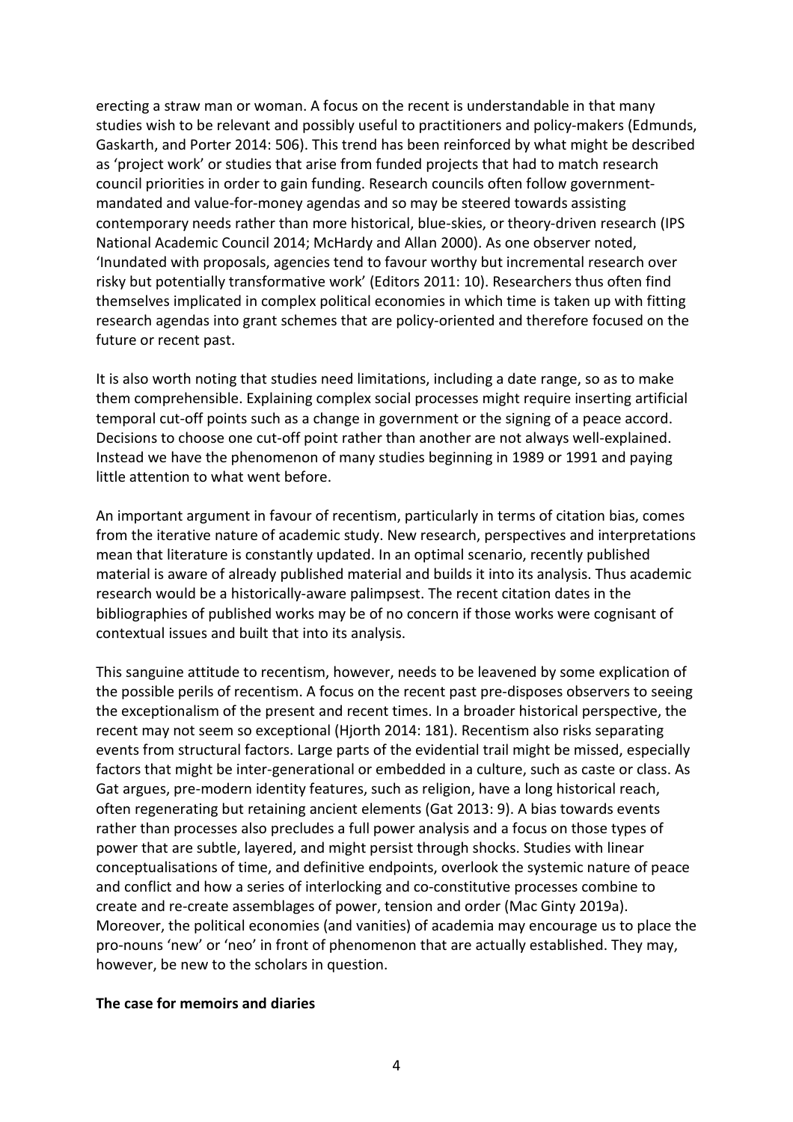erecting a straw man or woman. A focus on the recent is understandable in that many studies wish to be relevant and possibly useful to practitioners and policy-makers (Edmunds, Gaskarth, and Porter 2014: 506). This trend has been reinforced by what might be described as 'project work' or studies that arise from funded projects that had to match research council priorities in order to gain funding. Research councils often follow governmentmandated and value-for-money agendas and so may be steered towards assisting contemporary needs rather than more historical, blue-skies, or theory-driven research (IPS National Academic Council 2014; McHardy and Allan 2000). As one observer noted, 'Inundated with proposals, agencies tend to favour worthy but incremental research over risky but potentially transformative work' (Editors 2011: 10). Researchers thus often find themselves implicated in complex political economies in which time is taken up with fitting research agendas into grant schemes that are policy-oriented and therefore focused on the future or recent past.

It is also worth noting that studies need limitations, including a date range, so as to make them comprehensible. Explaining complex social processes might require inserting artificial temporal cut-off points such as a change in government or the signing of a peace accord. Decisions to choose one cut-off point rather than another are not always well-explained. Instead we have the phenomenon of many studies beginning in 1989 or 1991 and paying little attention to what went before.

An important argument in favour of recentism, particularly in terms of citation bias, comes from the iterative nature of academic study. New research, perspectives and interpretations mean that literature is constantly updated. In an optimal scenario, recently published material is aware of already published material and builds it into its analysis. Thus academic research would be a historically-aware palimpsest. The recent citation dates in the bibliographies of published works may be of no concern if those works were cognisant of contextual issues and built that into its analysis.

This sanguine attitude to recentism, however, needs to be leavened by some explication of the possible perils of recentism. A focus on the recent past pre-disposes observers to seeing the exceptionalism of the present and recent times. In a broader historical perspective, the recent may not seem so exceptional (Hjorth 2014: 181). Recentism also risks separating events from structural factors. Large parts of the evidential trail might be missed, especially factors that might be inter-generational or embedded in a culture, such as caste or class. As Gat argues, pre-modern identity features, such as religion, have a long historical reach, often regenerating but retaining ancient elements (Gat 2013: 9). A bias towards events rather than processes also precludes a full power analysis and a focus on those types of power that are subtle, layered, and might persist through shocks. Studies with linear conceptualisations of time, and definitive endpoints, overlook the systemic nature of peace and conflict and how a series of interlocking and co-constitutive processes combine to create and re-create assemblages of power, tension and order (Mac Ginty 2019a). Moreover, the political economies (and vanities) of academia may encourage us to place the pro-nouns 'new' or 'neo' in front of phenomenon that are actually established. They may, however, be new to the scholars in question.

### **The case for memoirs and diaries**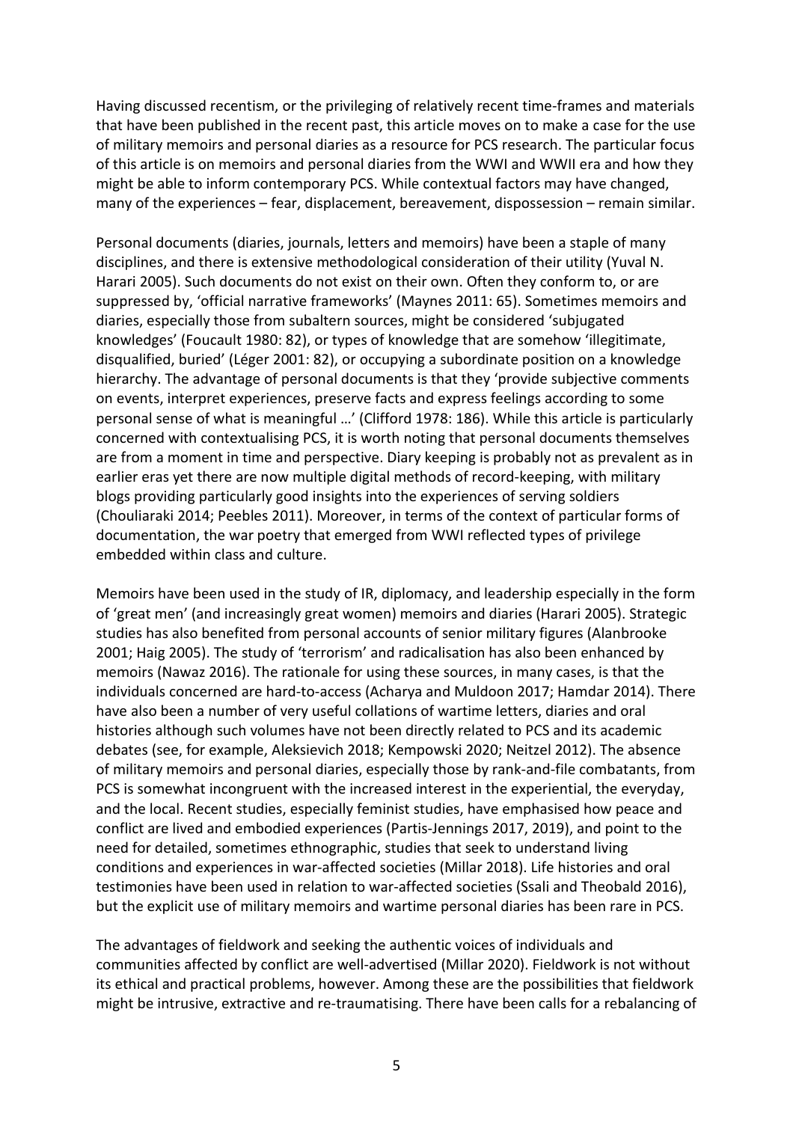Having discussed recentism, or the privileging of relatively recent time-frames and materials that have been published in the recent past, this article moves on to make a case for the use of military memoirs and personal diaries as a resource for PCS research. The particular focus of this article is on memoirs and personal diaries from the WWI and WWII era and how they might be able to inform contemporary PCS. While contextual factors may have changed, many of the experiences – fear, displacement, bereavement, dispossession – remain similar.

Personal documents (diaries, journals, letters and memoirs) have been a staple of many disciplines, and there is extensive methodological consideration of their utility (Yuval N. Harari 2005). Such documents do not exist on their own. Often they conform to, or are suppressed by, 'official narrative frameworks' (Maynes 2011: 65). Sometimes memoirs and diaries, especially those from subaltern sources, might be considered 'subjugated knowledges' (Foucault 1980: 82), or types of knowledge that are somehow 'illegitimate, disqualified, buried' (Léger 2001: 82), or occupying a subordinate position on a knowledge hierarchy. The advantage of personal documents is that they 'provide subjective comments on events, interpret experiences, preserve facts and express feelings according to some personal sense of what is meaningful …' (Clifford 1978: 186). While this article is particularly concerned with contextualising PCS, it is worth noting that personal documents themselves are from a moment in time and perspective. Diary keeping is probably not as prevalent as in earlier eras yet there are now multiple digital methods of record-keeping, with military blogs providing particularly good insights into the experiences of serving soldiers (Chouliaraki 2014; Peebles 2011). Moreover, in terms of the context of particular forms of documentation, the war poetry that emerged from WWI reflected types of privilege embedded within class and culture.

Memoirs have been used in the study of IR, diplomacy, and leadership especially in the form of 'great men' (and increasingly great women) memoirs and diaries (Harari 2005). Strategic studies has also benefited from personal accounts of senior military figures (Alanbrooke 2001; Haig 2005). The study of 'terrorism' and radicalisation has also been enhanced by memoirs (Nawaz 2016). The rationale for using these sources, in many cases, is that the individuals concerned are hard-to-access (Acharya and Muldoon 2017; Hamdar 2014). There have also been a number of very useful collations of wartime letters, diaries and oral histories although such volumes have not been directly related to PCS and its academic debates (see, for example, Aleksievich 2018; Kempowski 2020; Neitzel 2012). The absence of military memoirs and personal diaries, especially those by rank-and-file combatants, from PCS is somewhat incongruent with the increased interest in the experiential, the everyday, and the local. Recent studies, especially feminist studies, have emphasised how peace and conflict are lived and embodied experiences (Partis-Jennings 2017, 2019), and point to the need for detailed, sometimes ethnographic, studies that seek to understand living conditions and experiences in war-affected societies (Millar 2018). Life histories and oral testimonies have been used in relation to war-affected societies (Ssali and Theobald 2016), but the explicit use of military memoirs and wartime personal diaries has been rare in PCS.

The advantages of fieldwork and seeking the authentic voices of individuals and communities affected by conflict are well-advertised (Millar 2020). Fieldwork is not without its ethical and practical problems, however. Among these are the possibilities that fieldwork might be intrusive, extractive and re-traumatising. There have been calls for a rebalancing of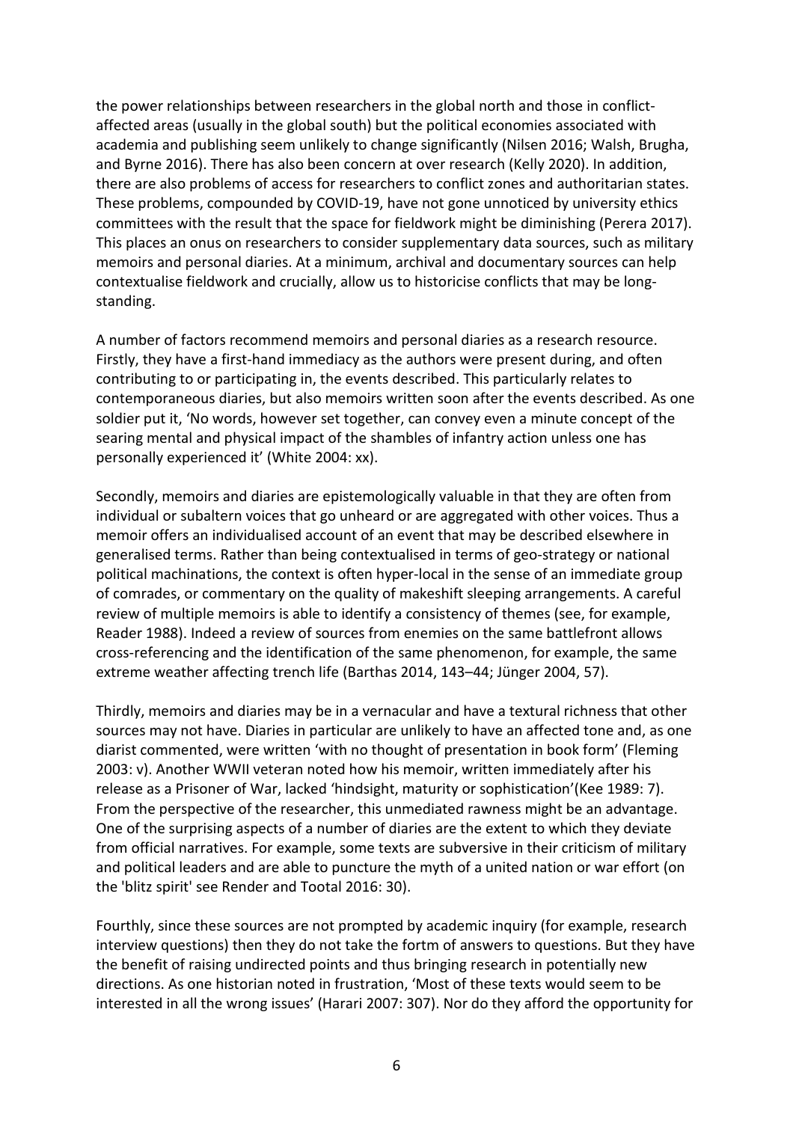the power relationships between researchers in the global north and those in conflictaffected areas (usually in the global south) but the political economies associated with academia and publishing seem unlikely to change significantly (Nilsen 2016; Walsh, Brugha, and Byrne 2016). There has also been concern at over research (Kelly 2020). In addition, there are also problems of access for researchers to conflict zones and authoritarian states. These problems, compounded by COVID-19, have not gone unnoticed by university ethics committees with the result that the space for fieldwork might be diminishing (Perera 2017). This places an onus on researchers to consider supplementary data sources, such as military memoirs and personal diaries. At a minimum, archival and documentary sources can help contextualise fieldwork and crucially, allow us to historicise conflicts that may be longstanding.

A number of factors recommend memoirs and personal diaries as a research resource. Firstly, they have a first-hand immediacy as the authors were present during, and often contributing to or participating in, the events described. This particularly relates to contemporaneous diaries, but also memoirs written soon after the events described. As one soldier put it, 'No words, however set together, can convey even a minute concept of the searing mental and physical impact of the shambles of infantry action unless one has personally experienced it' (White 2004: xx).

Secondly, memoirs and diaries are epistemologically valuable in that they are often from individual or subaltern voices that go unheard or are aggregated with other voices. Thus a memoir offers an individualised account of an event that may be described elsewhere in generalised terms. Rather than being contextualised in terms of geo-strategy or national political machinations, the context is often hyper-local in the sense of an immediate group of comrades, or commentary on the quality of makeshift sleeping arrangements. A careful review of multiple memoirs is able to identify a consistency of themes (see, for example, Reader 1988). Indeed a review of sources from enemies on the same battlefront allows cross-referencing and the identification of the same phenomenon, for example, the same extreme weather affecting trench life (Barthas 2014, 143–44; Jünger 2004, 57).

Thirdly, memoirs and diaries may be in a vernacular and have a textural richness that other sources may not have. Diaries in particular are unlikely to have an affected tone and, as one diarist commented, were written 'with no thought of presentation in book form' (Fleming 2003: v). Another WWII veteran noted how his memoir, written immediately after his release as a Prisoner of War, lacked 'hindsight, maturity or sophistication'(Kee 1989: 7). From the perspective of the researcher, this unmediated rawness might be an advantage. One of the surprising aspects of a number of diaries are the extent to which they deviate from official narratives. For example, some texts are subversive in their criticism of military and political leaders and are able to puncture the myth of a united nation or war effort (on the 'blitz spirit' see Render and Tootal 2016: 30).

Fourthly, since these sources are not prompted by academic inquiry (for example, research interview questions) then they do not take the fortm of answers to questions. But they have the benefit of raising undirected points and thus bringing research in potentially new directions. As one historian noted in frustration, 'Most of these texts would seem to be interested in all the wrong issues' (Harari 2007: 307). Nor do they afford the opportunity for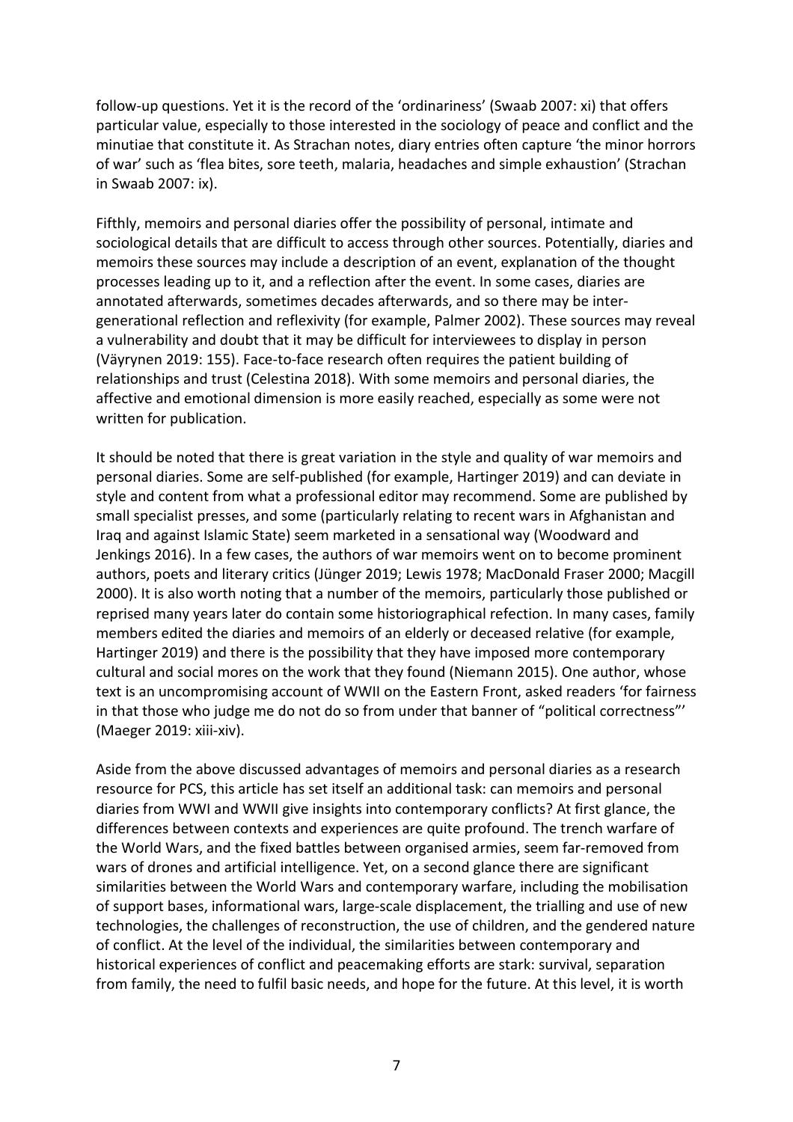follow-up questions. Yet it is the record of the 'ordinariness' (Swaab 2007: xi) that offers particular value, especially to those interested in the sociology of peace and conflict and the minutiae that constitute it. As Strachan notes, diary entries often capture 'the minor horrors of war' such as 'flea bites, sore teeth, malaria, headaches and simple exhaustion' (Strachan in Swaab 2007: ix).

Fifthly, memoirs and personal diaries offer the possibility of personal, intimate and sociological details that are difficult to access through other sources. Potentially, diaries and memoirs these sources may include a description of an event, explanation of the thought processes leading up to it, and a reflection after the event. In some cases, diaries are annotated afterwards, sometimes decades afterwards, and so there may be intergenerational reflection and reflexivity (for example, Palmer 2002). These sources may reveal a vulnerability and doubt that it may be difficult for interviewees to display in person (Väyrynen 2019: 155). Face-to-face research often requires the patient building of relationships and trust (Celestina 2018). With some memoirs and personal diaries, the affective and emotional dimension is more easily reached, especially as some were not written for publication.

It should be noted that there is great variation in the style and quality of war memoirs and personal diaries. Some are self-published (for example, Hartinger 2019) and can deviate in style and content from what a professional editor may recommend. Some are published by small specialist presses, and some (particularly relating to recent wars in Afghanistan and Iraq and against Islamic State) seem marketed in a sensational way (Woodward and Jenkings 2016). In a few cases, the authors of war memoirs went on to become prominent authors, poets and literary critics (Jünger 2019; Lewis 1978; MacDonald Fraser 2000; Macgill 2000). It is also worth noting that a number of the memoirs, particularly those published or reprised many years later do contain some historiographical refection. In many cases, family members edited the diaries and memoirs of an elderly or deceased relative (for example, Hartinger 2019) and there is the possibility that they have imposed more contemporary cultural and social mores on the work that they found (Niemann 2015). One author, whose text is an uncompromising account of WWII on the Eastern Front, asked readers 'for fairness in that those who judge me do not do so from under that banner of "political correctness"' (Maeger 2019: xiii-xiv).

Aside from the above discussed advantages of memoirs and personal diaries as a research resource for PCS, this article has set itself an additional task: can memoirs and personal diaries from WWI and WWII give insights into contemporary conflicts? At first glance, the differences between contexts and experiences are quite profound. The trench warfare of the World Wars, and the fixed battles between organised armies, seem far-removed from wars of drones and artificial intelligence. Yet, on a second glance there are significant similarities between the World Wars and contemporary warfare, including the mobilisation of support bases, informational wars, large-scale displacement, the trialling and use of new technologies, the challenges of reconstruction, the use of children, and the gendered nature of conflict. At the level of the individual, the similarities between contemporary and historical experiences of conflict and peacemaking efforts are stark: survival, separation from family, the need to fulfil basic needs, and hope for the future. At this level, it is worth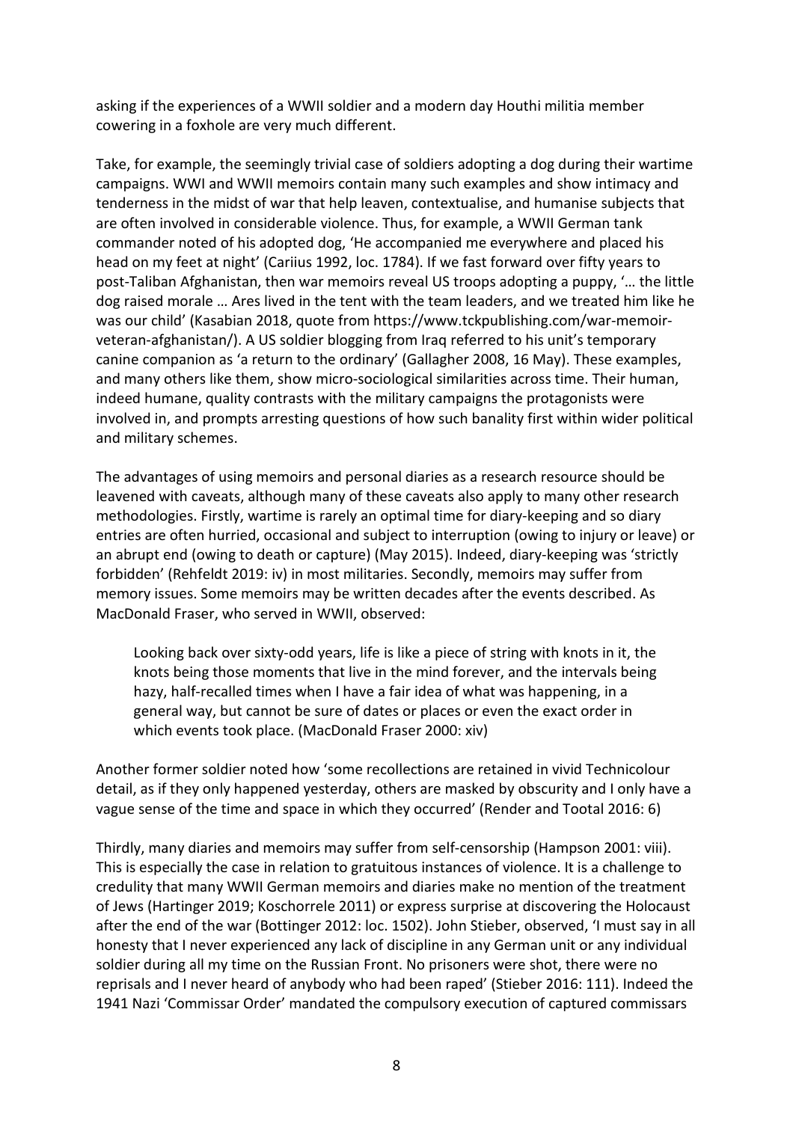asking if the experiences of a WWII soldier and a modern day Houthi militia member cowering in a foxhole are very much different.

Take, for example, the seemingly trivial case of soldiers adopting a dog during their wartime campaigns. WWI and WWII memoirs contain many such examples and show intimacy and tenderness in the midst of war that help leaven, contextualise, and humanise subjects that are often involved in considerable violence. Thus, for example, a WWII German tank commander noted of his adopted dog, 'He accompanied me everywhere and placed his head on my feet at night' (Cariius 1992, loc. 1784). If we fast forward over fifty years to post-Taliban Afghanistan, then war memoirs reveal US troops adopting a puppy, '… the little dog raised morale … Ares lived in the tent with the team leaders, and we treated him like he was our child' (Kasabian 2018, quote from https://www.tckpublishing.com/war-memoirveteran-afghanistan/). A US soldier blogging from Iraq referred to his unit's temporary canine companion as 'a return to the ordinary' (Gallagher 2008, 16 May). These examples, and many others like them, show micro-sociological similarities across time. Their human, indeed humane, quality contrasts with the military campaigns the protagonists were involved in, and prompts arresting questions of how such banality first within wider political and military schemes.

The advantages of using memoirs and personal diaries as a research resource should be leavened with caveats, although many of these caveats also apply to many other research methodologies. Firstly, wartime is rarely an optimal time for diary-keeping and so diary entries are often hurried, occasional and subject to interruption (owing to injury or leave) or an abrupt end (owing to death or capture) (May 2015). Indeed, diary-keeping was 'strictly forbidden' (Rehfeldt 2019: iv) in most militaries. Secondly, memoirs may suffer from memory issues. Some memoirs may be written decades after the events described. As MacDonald Fraser, who served in WWII, observed:

Looking back over sixty-odd years, life is like a piece of string with knots in it, the knots being those moments that live in the mind forever, and the intervals being hazy, half-recalled times when I have a fair idea of what was happening, in a general way, but cannot be sure of dates or places or even the exact order in which events took place. (MacDonald Fraser 2000: xiv)

Another former soldier noted how 'some recollections are retained in vivid Technicolour detail, as if they only happened yesterday, others are masked by obscurity and I only have a vague sense of the time and space in which they occurred' (Render and Tootal 2016: 6)

Thirdly, many diaries and memoirs may suffer from self-censorship (Hampson 2001: viii). This is especially the case in relation to gratuitous instances of violence. It is a challenge to credulity that many WWII German memoirs and diaries make no mention of the treatment of Jews (Hartinger 2019; Koschorrele 2011) or express surprise at discovering the Holocaust after the end of the war (Bottinger 2012: loc. 1502). John Stieber, observed, 'I must say in all honesty that I never experienced any lack of discipline in any German unit or any individual soldier during all my time on the Russian Front. No prisoners were shot, there were no reprisals and I never heard of anybody who had been raped' (Stieber 2016: 111). Indeed the 1941 Nazi 'Commissar Order' mandated the compulsory execution of captured commissars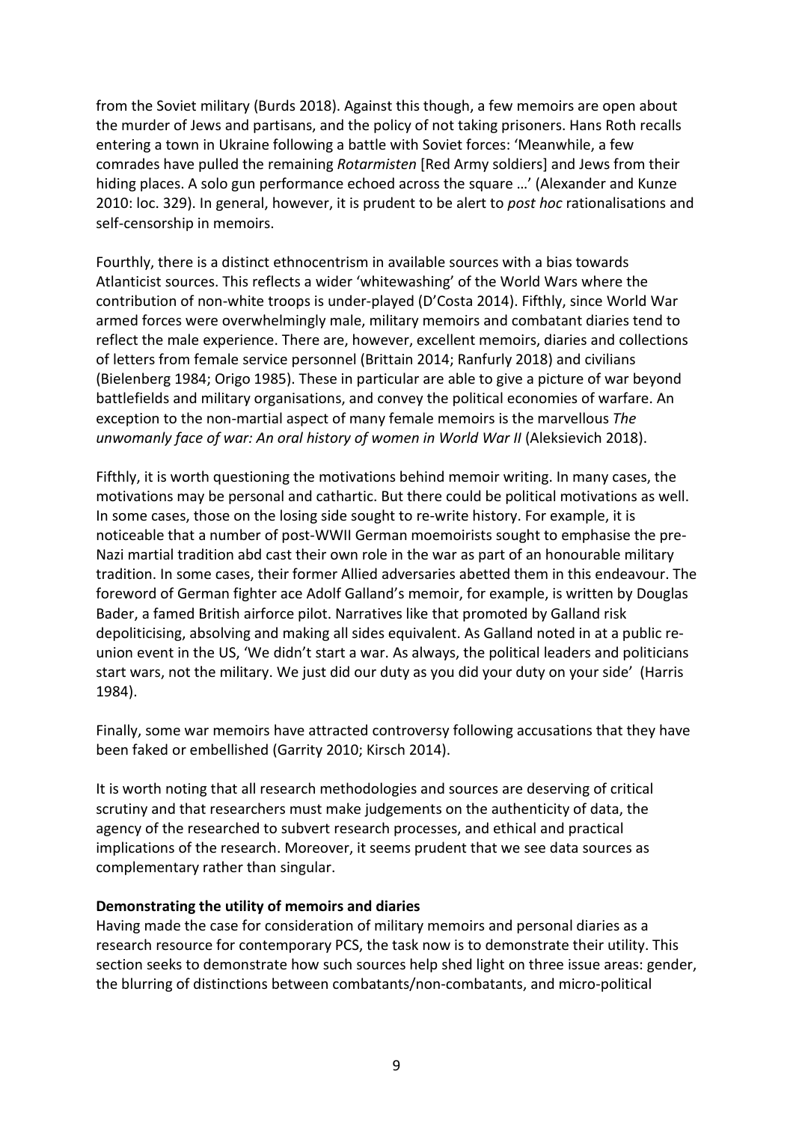from the Soviet military (Burds 2018). Against this though, a few memoirs are open about the murder of Jews and partisans, and the policy of not taking prisoners. Hans Roth recalls entering a town in Ukraine following a battle with Soviet forces: 'Meanwhile, a few comrades have pulled the remaining *Rotarmisten* [Red Army soldiers] and Jews from their hiding places. A solo gun performance echoed across the square …' (Alexander and Kunze 2010: loc. 329). In general, however, it is prudent to be alert to *post hoc* rationalisations and self-censorship in memoirs.

Fourthly, there is a distinct ethnocentrism in available sources with a bias towards Atlanticist sources. This reflects a wider 'whitewashing' of the World Wars where the contribution of non-white troops is under-played (D'Costa 2014). Fifthly, since World War armed forces were overwhelmingly male, military memoirs and combatant diaries tend to reflect the male experience. There are, however, excellent memoirs, diaries and collections of letters from female service personnel (Brittain 2014; Ranfurly 2018) and civilians (Bielenberg 1984; Origo 1985). These in particular are able to give a picture of war beyond battlefields and military organisations, and convey the political economies of warfare. An exception to the non-martial aspect of many female memoirs is the marvellous *The unwomanly face of war: An oral history of women in World War II* (Aleksievich 2018).

Fifthly, it is worth questioning the motivations behind memoir writing. In many cases, the motivations may be personal and cathartic. But there could be political motivations as well. In some cases, those on the losing side sought to re-write history. For example, it is noticeable that a number of post-WWII German moemoirists sought to emphasise the pre-Nazi martial tradition abd cast their own role in the war as part of an honourable military tradition. In some cases, their former Allied adversaries abetted them in this endeavour. The foreword of German fighter ace Adolf Galland's memoir, for example, is written by Douglas Bader, a famed British airforce pilot. Narratives like that promoted by Galland risk depoliticising, absolving and making all sides equivalent. As Galland noted in at a public reunion event in the US, 'We didn't start a war. As always, the political leaders and politicians start wars, not the military. We just did our duty as you did your duty on your side' (Harris 1984).

Finally, some war memoirs have attracted controversy following accusations that they have been faked or embellished (Garrity 2010; Kirsch 2014).

It is worth noting that all research methodologies and sources are deserving of critical scrutiny and that researchers must make judgements on the authenticity of data, the agency of the researched to subvert research processes, and ethical and practical implications of the research. Moreover, it seems prudent that we see data sources as complementary rather than singular.

### **Demonstrating the utility of memoirs and diaries**

Having made the case for consideration of military memoirs and personal diaries as a research resource for contemporary PCS, the task now is to demonstrate their utility. This section seeks to demonstrate how such sources help shed light on three issue areas: gender, the blurring of distinctions between combatants/non-combatants, and micro-political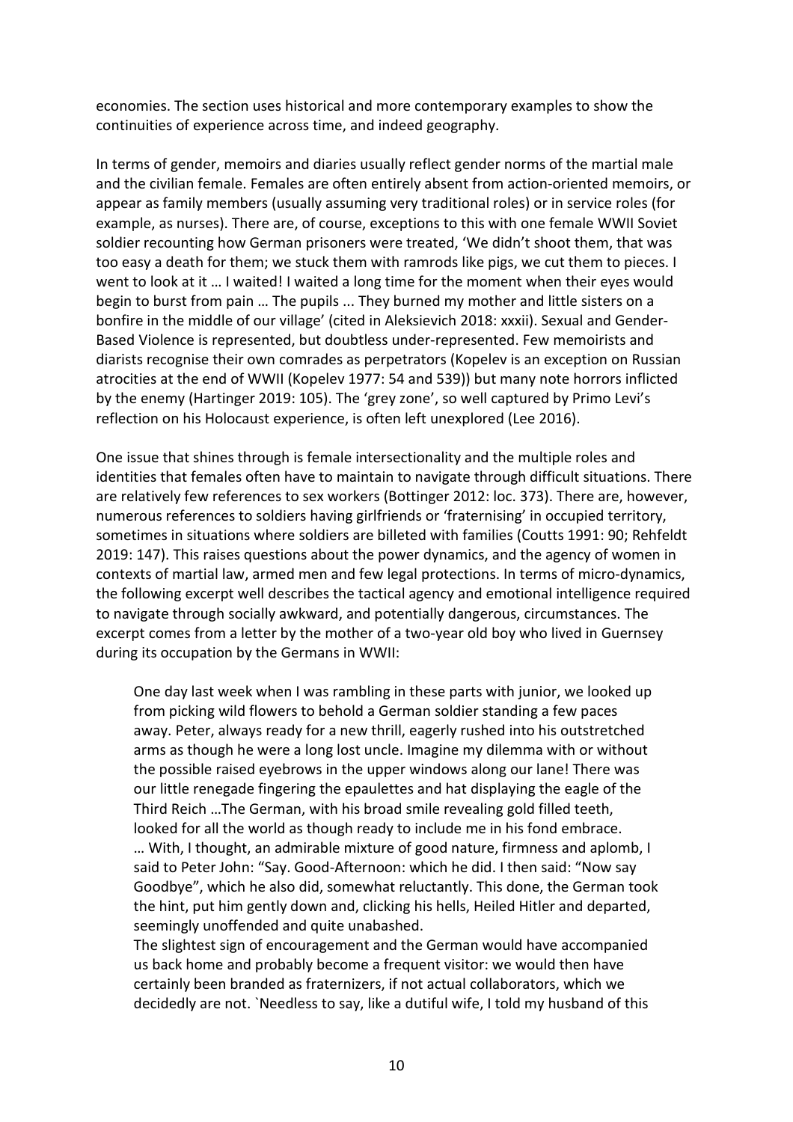economies. The section uses historical and more contemporary examples to show the continuities of experience across time, and indeed geography.

In terms of gender, memoirs and diaries usually reflect gender norms of the martial male and the civilian female. Females are often entirely absent from action-oriented memoirs, or appear as family members (usually assuming very traditional roles) or in service roles (for example, as nurses). There are, of course, exceptions to this with one female WWII Soviet soldier recounting how German prisoners were treated, 'We didn't shoot them, that was too easy a death for them; we stuck them with ramrods like pigs, we cut them to pieces. I went to look at it ... I waited! I waited a long time for the moment when their eyes would begin to burst from pain … The pupils ... They burned my mother and little sisters on a bonfire in the middle of our village' (cited in Aleksievich 2018: xxxii). Sexual and Gender-Based Violence is represented, but doubtless under-represented. Few memoirists and diarists recognise their own comrades as perpetrators (Kopelev is an exception on Russian atrocities at the end of WWII (Kopelev 1977: 54 and 539)) but many note horrors inflicted by the enemy (Hartinger 2019: 105). The 'grey zone', so well captured by Primo Levi's reflection on his Holocaust experience, is often left unexplored (Lee 2016).

One issue that shines through is female intersectionality and the multiple roles and identities that females often have to maintain to navigate through difficult situations. There are relatively few references to sex workers (Bottinger 2012: loc. 373). There are, however, numerous references to soldiers having girlfriends or 'fraternising' in occupied territory, sometimes in situations where soldiers are billeted with families (Coutts 1991: 90; Rehfeldt 2019: 147). This raises questions about the power dynamics, and the agency of women in contexts of martial law, armed men and few legal protections. In terms of micro-dynamics, the following excerpt well describes the tactical agency and emotional intelligence required to navigate through socially awkward, and potentially dangerous, circumstances. The excerpt comes from a letter by the mother of a two-year old boy who lived in Guernsey during its occupation by the Germans in WWII:

One day last week when I was rambling in these parts with junior, we looked up from picking wild flowers to behold a German soldier standing a few paces away. Peter, always ready for a new thrill, eagerly rushed into his outstretched arms as though he were a long lost uncle. Imagine my dilemma with or without the possible raised eyebrows in the upper windows along our lane! There was our little renegade fingering the epaulettes and hat displaying the eagle of the Third Reich …The German, with his broad smile revealing gold filled teeth, looked for all the world as though ready to include me in his fond embrace. … With, I thought, an admirable mixture of good nature, firmness and aplomb, I said to Peter John: "Say. Good-Afternoon: which he did. I then said: "Now say Goodbye", which he also did, somewhat reluctantly. This done, the German took the hint, put him gently down and, clicking his hells, Heiled Hitler and departed, seemingly unoffended and quite unabashed.

The slightest sign of encouragement and the German would have accompanied us back home and probably become a frequent visitor: we would then have certainly been branded as fraternizers, if not actual collaborators, which we decidedly are not. `Needless to say, like a dutiful wife, I told my husband of this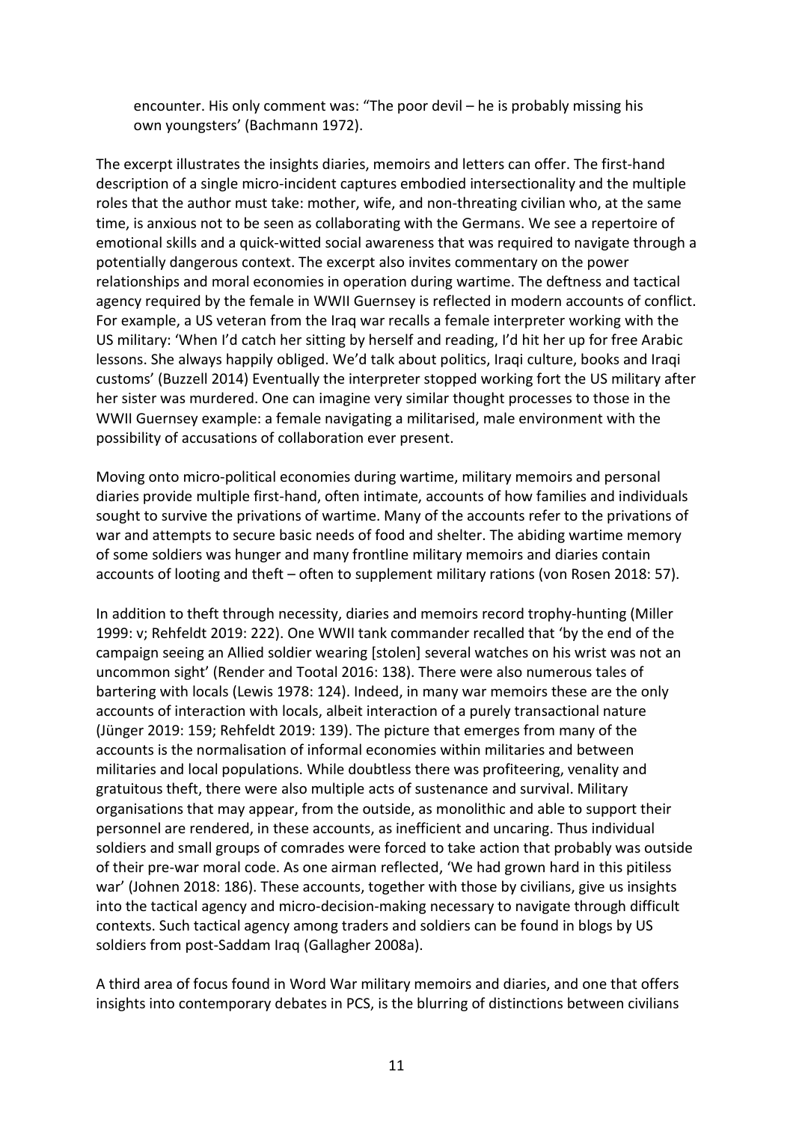encounter. His only comment was: "The poor devil – he is probably missing his own youngsters' (Bachmann 1972).

The excerpt illustrates the insights diaries, memoirs and letters can offer. The first-hand description of a single micro-incident captures embodied intersectionality and the multiple roles that the author must take: mother, wife, and non-threating civilian who, at the same time, is anxious not to be seen as collaborating with the Germans. We see a repertoire of emotional skills and a quick-witted social awareness that was required to navigate through a potentially dangerous context. The excerpt also invites commentary on the power relationships and moral economies in operation during wartime. The deftness and tactical agency required by the female in WWII Guernsey is reflected in modern accounts of conflict. For example, a US veteran from the Iraq war recalls a female interpreter working with the US military: 'When I'd catch her sitting by herself and reading, I'd hit her up for free Arabic lessons. She always happily obliged. We'd talk about politics, Iraqi culture, books and Iraqi customs' (Buzzell 2014) Eventually the interpreter stopped working fort the US military after her sister was murdered. One can imagine very similar thought processes to those in the WWII Guernsey example: a female navigating a militarised, male environment with the possibility of accusations of collaboration ever present.

Moving onto micro-political economies during wartime, military memoirs and personal diaries provide multiple first-hand, often intimate, accounts of how families and individuals sought to survive the privations of wartime. Many of the accounts refer to the privations of war and attempts to secure basic needs of food and shelter. The abiding wartime memory of some soldiers was hunger and many frontline military memoirs and diaries contain accounts of looting and theft – often to supplement military rations (von Rosen 2018: 57).

In addition to theft through necessity, diaries and memoirs record trophy-hunting (Miller 1999: v; Rehfeldt 2019: 222). One WWII tank commander recalled that 'by the end of the campaign seeing an Allied soldier wearing [stolen] several watches on his wrist was not an uncommon sight' (Render and Tootal 2016: 138). There were also numerous tales of bartering with locals (Lewis 1978: 124). Indeed, in many war memoirs these are the only accounts of interaction with locals, albeit interaction of a purely transactional nature (Jünger 2019: 159; Rehfeldt 2019: 139). The picture that emerges from many of the accounts is the normalisation of informal economies within militaries and between militaries and local populations. While doubtless there was profiteering, venality and gratuitous theft, there were also multiple acts of sustenance and survival. Military organisations that may appear, from the outside, as monolithic and able to support their personnel are rendered, in these accounts, as inefficient and uncaring. Thus individual soldiers and small groups of comrades were forced to take action that probably was outside of their pre-war moral code. As one airman reflected, 'We had grown hard in this pitiless war' (Johnen 2018: 186). These accounts, together with those by civilians, give us insights into the tactical agency and micro-decision-making necessary to navigate through difficult contexts. Such tactical agency among traders and soldiers can be found in blogs by US soldiers from post-Saddam Iraq (Gallagher 2008a).

A third area of focus found in Word War military memoirs and diaries, and one that offers insights into contemporary debates in PCS, is the blurring of distinctions between civilians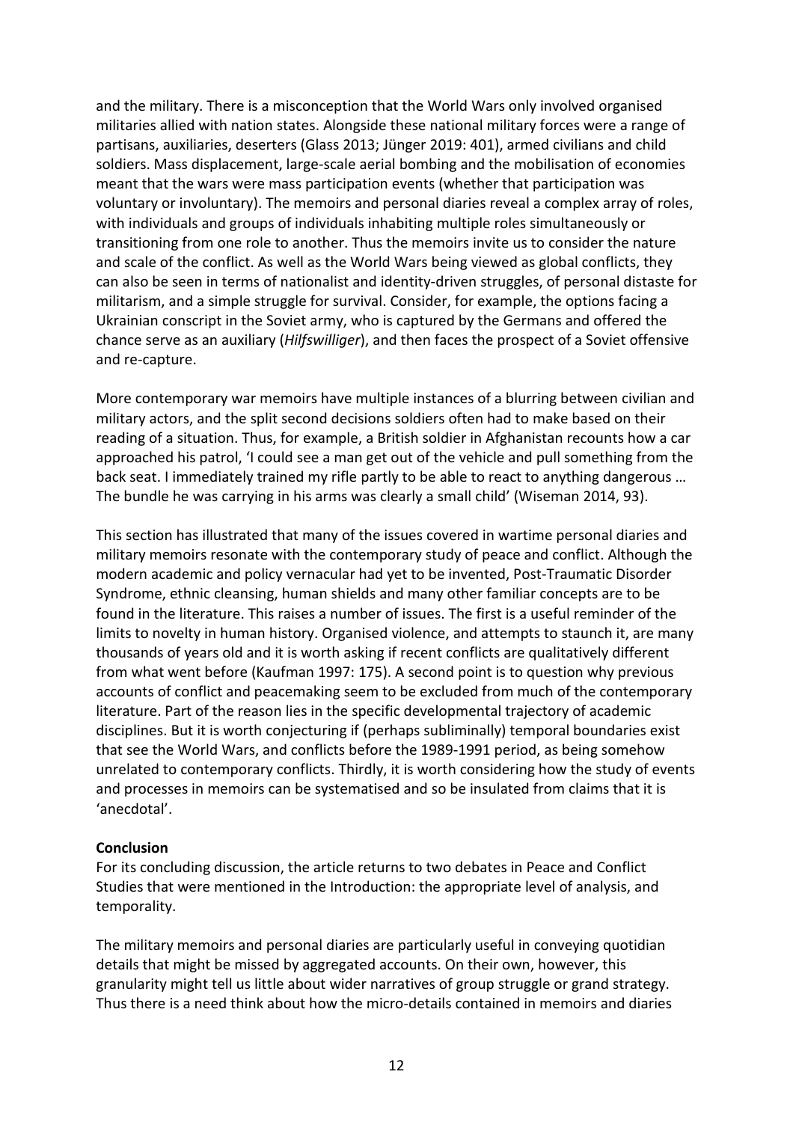and the military. There is a misconception that the World Wars only involved organised militaries allied with nation states. Alongside these national military forces were a range of partisans, auxiliaries, deserters (Glass 2013; Jünger 2019: 401), armed civilians and child soldiers. Mass displacement, large-scale aerial bombing and the mobilisation of economies meant that the wars were mass participation events (whether that participation was voluntary or involuntary). The memoirs and personal diaries reveal a complex array of roles, with individuals and groups of individuals inhabiting multiple roles simultaneously or transitioning from one role to another. Thus the memoirs invite us to consider the nature and scale of the conflict. As well as the World Wars being viewed as global conflicts, they can also be seen in terms of nationalist and identity-driven struggles, of personal distaste for militarism, and a simple struggle for survival. Consider, for example, the options facing a Ukrainian conscript in the Soviet army, who is captured by the Germans and offered the chance serve as an auxiliary (*Hilfswilliger*), and then faces the prospect of a Soviet offensive and re-capture.

More contemporary war memoirs have multiple instances of a blurring between civilian and military actors, and the split second decisions soldiers often had to make based on their reading of a situation. Thus, for example, a British soldier in Afghanistan recounts how a car approached his patrol, 'I could see a man get out of the vehicle and pull something from the back seat. I immediately trained my rifle partly to be able to react to anything dangerous … The bundle he was carrying in his arms was clearly a small child' (Wiseman 2014, 93).

This section has illustrated that many of the issues covered in wartime personal diaries and military memoirs resonate with the contemporary study of peace and conflict. Although the modern academic and policy vernacular had yet to be invented, Post-Traumatic Disorder Syndrome, ethnic cleansing, human shields and many other familiar concepts are to be found in the literature. This raises a number of issues. The first is a useful reminder of the limits to novelty in human history. Organised violence, and attempts to staunch it, are many thousands of years old and it is worth asking if recent conflicts are qualitatively different from what went before (Kaufman 1997: 175). A second point is to question why previous accounts of conflict and peacemaking seem to be excluded from much of the contemporary literature. Part of the reason lies in the specific developmental trajectory of academic disciplines. But it is worth conjecturing if (perhaps subliminally) temporal boundaries exist that see the World Wars, and conflicts before the 1989-1991 period, as being somehow unrelated to contemporary conflicts. Thirdly, it is worth considering how the study of events and processes in memoirs can be systematised and so be insulated from claims that it is 'anecdotal'.

### **Conclusion**

For its concluding discussion, the article returns to two debates in Peace and Conflict Studies that were mentioned in the Introduction: the appropriate level of analysis, and temporality.

The military memoirs and personal diaries are particularly useful in conveying quotidian details that might be missed by aggregated accounts. On their own, however, this granularity might tell us little about wider narratives of group struggle or grand strategy. Thus there is a need think about how the micro-details contained in memoirs and diaries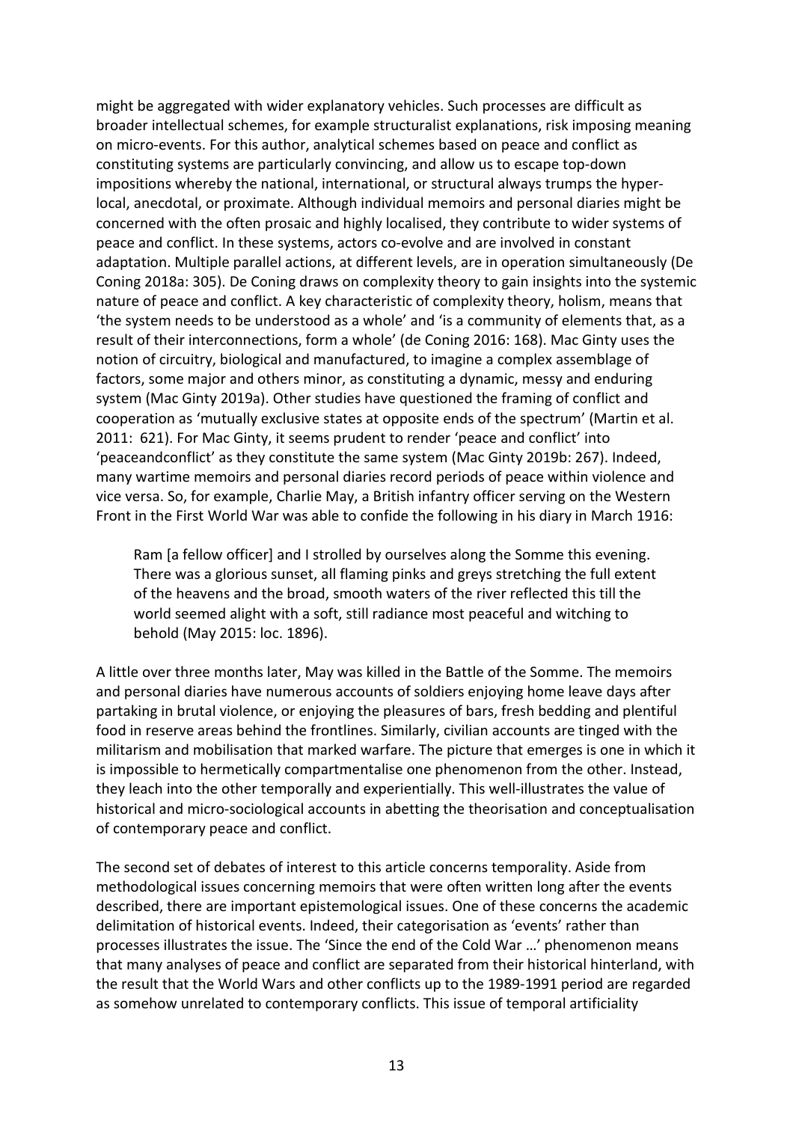might be aggregated with wider explanatory vehicles. Such processes are difficult as broader intellectual schemes, for example structuralist explanations, risk imposing meaning on micro-events. For this author, analytical schemes based on peace and conflict as constituting systems are particularly convincing, and allow us to escape top-down impositions whereby the national, international, or structural always trumps the hyperlocal, anecdotal, or proximate. Although individual memoirs and personal diaries might be concerned with the often prosaic and highly localised, they contribute to wider systems of peace and conflict. In these systems, actors co-evolve and are involved in constant adaptation. Multiple parallel actions, at different levels, are in operation simultaneously (De Coning 2018a: 305). De Coning draws on complexity theory to gain insights into the systemic nature of peace and conflict. A key characteristic of complexity theory, holism, means that 'the system needs to be understood as a whole' and 'is a community of elements that, as a result of their interconnections, form a whole' (de Coning 2016: 168). Mac Ginty uses the notion of circuitry, biological and manufactured, to imagine a complex assemblage of factors, some major and others minor, as constituting a dynamic, messy and enduring system (Mac Ginty 2019a). Other studies have questioned the framing of conflict and cooperation as 'mutually exclusive states at opposite ends of the spectrum' (Martin et al. 2011: 621). For Mac Ginty, it seems prudent to render 'peace and conflict' into 'peaceandconflict' as they constitute the same system (Mac Ginty 2019b: 267). Indeed, many wartime memoirs and personal diaries record periods of peace within violence and vice versa. So, for example, Charlie May, a British infantry officer serving on the Western Front in the First World War was able to confide the following in his diary in March 1916:

Ram [a fellow officer] and I strolled by ourselves along the Somme this evening. There was a glorious sunset, all flaming pinks and greys stretching the full extent of the heavens and the broad, smooth waters of the river reflected this till the world seemed alight with a soft, still radiance most peaceful and witching to behold (May 2015: loc. 1896).

A little over three months later, May was killed in the Battle of the Somme. The memoirs and personal diaries have numerous accounts of soldiers enjoying home leave days after partaking in brutal violence, or enjoying the pleasures of bars, fresh bedding and plentiful food in reserve areas behind the frontlines. Similarly, civilian accounts are tinged with the militarism and mobilisation that marked warfare. The picture that emerges is one in which it is impossible to hermetically compartmentalise one phenomenon from the other. Instead, they leach into the other temporally and experientially. This well-illustrates the value of historical and micro-sociological accounts in abetting the theorisation and conceptualisation of contemporary peace and conflict.

The second set of debates of interest to this article concerns temporality. Aside from methodological issues concerning memoirs that were often written long after the events described, there are important epistemological issues. One of these concerns the academic delimitation of historical events. Indeed, their categorisation as 'events' rather than processes illustrates the issue. The 'Since the end of the Cold War …' phenomenon means that many analyses of peace and conflict are separated from their historical hinterland, with the result that the World Wars and other conflicts up to the 1989-1991 period are regarded as somehow unrelated to contemporary conflicts. This issue of temporal artificiality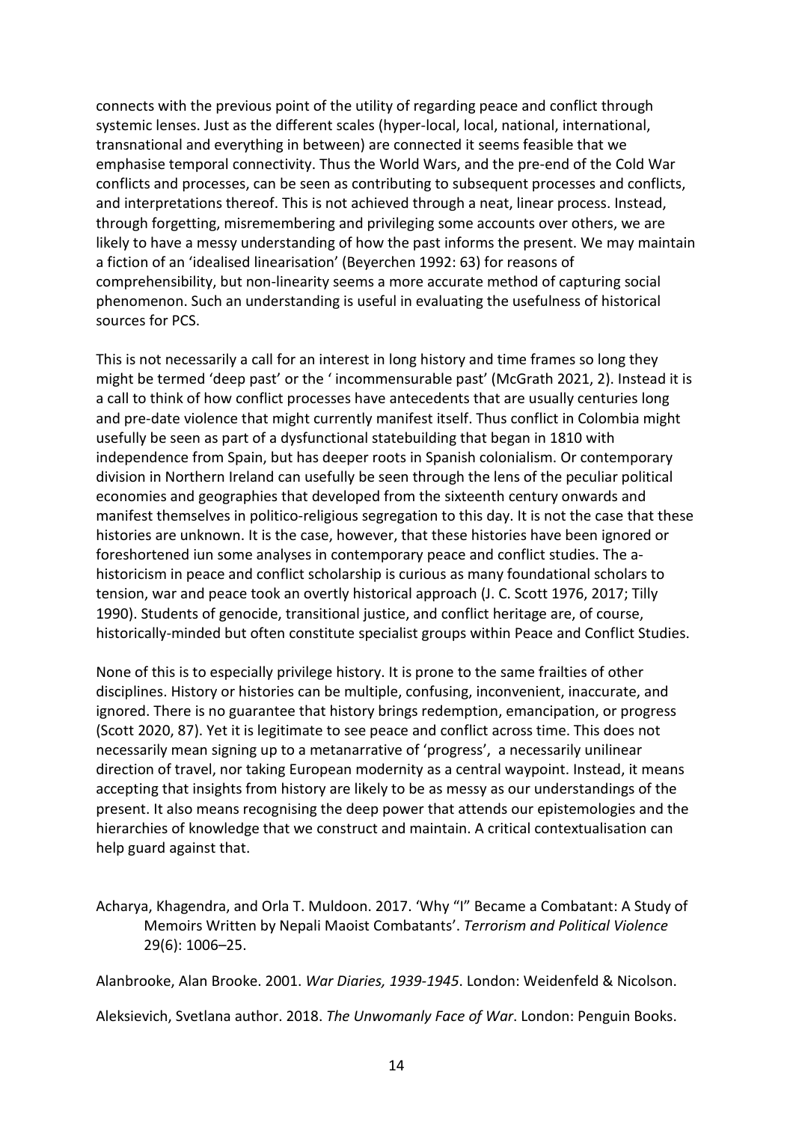connects with the previous point of the utility of regarding peace and conflict through systemic lenses. Just as the different scales (hyper-local, local, national, international, transnational and everything in between) are connected it seems feasible that we emphasise temporal connectivity. Thus the World Wars, and the pre-end of the Cold War conflicts and processes, can be seen as contributing to subsequent processes and conflicts, and interpretations thereof. This is not achieved through a neat, linear process. Instead, through forgetting, misremembering and privileging some accounts over others, we are likely to have a messy understanding of how the past informs the present. We may maintain a fiction of an 'idealised linearisation' (Beyerchen 1992: 63) for reasons of comprehensibility, but non-linearity seems a more accurate method of capturing social phenomenon. Such an understanding is useful in evaluating the usefulness of historical sources for PCS.

This is not necessarily a call for an interest in long history and time frames so long they might be termed 'deep past' or the ' incommensurable past' (McGrath 2021, 2). Instead it is a call to think of how conflict processes have antecedents that are usually centuries long and pre-date violence that might currently manifest itself. Thus conflict in Colombia might usefully be seen as part of a dysfunctional statebuilding that began in 1810 with independence from Spain, but has deeper roots in Spanish colonialism. Or contemporary division in Northern Ireland can usefully be seen through the lens of the peculiar political economies and geographies that developed from the sixteenth century onwards and manifest themselves in politico-religious segregation to this day. It is not the case that these histories are unknown. It is the case, however, that these histories have been ignored or foreshortened iun some analyses in contemporary peace and conflict studies. The ahistoricism in peace and conflict scholarship is curious as many foundational scholars to tension, war and peace took an overtly historical approach (J. C. Scott 1976, 2017; Tilly 1990). Students of genocide, transitional justice, and conflict heritage are, of course, historically-minded but often constitute specialist groups within Peace and Conflict Studies.

None of this is to especially privilege history. It is prone to the same frailties of other disciplines. History or histories can be multiple, confusing, inconvenient, inaccurate, and ignored. There is no guarantee that history brings redemption, emancipation, or progress (Scott 2020, 87). Yet it is legitimate to see peace and conflict across time. This does not necessarily mean signing up to a metanarrative of 'progress', a necessarily unilinear direction of travel, nor taking European modernity as a central waypoint. Instead, it means accepting that insights from history are likely to be as messy as our understandings of the present. It also means recognising the deep power that attends our epistemologies and the hierarchies of knowledge that we construct and maintain. A critical contextualisation can help guard against that.

Acharya, Khagendra, and Orla T. Muldoon. 2017. 'Why "I" Became a Combatant: A Study of Memoirs Written by Nepali Maoist Combatants'. *Terrorism and Political Violence* 29(6): 1006–25.

Alanbrooke, Alan Brooke. 2001. *War Diaries, 1939-1945*. London: Weidenfeld & Nicolson.

Aleksievich, Svetlana author. 2018. *The Unwomanly Face of War*. London: Penguin Books.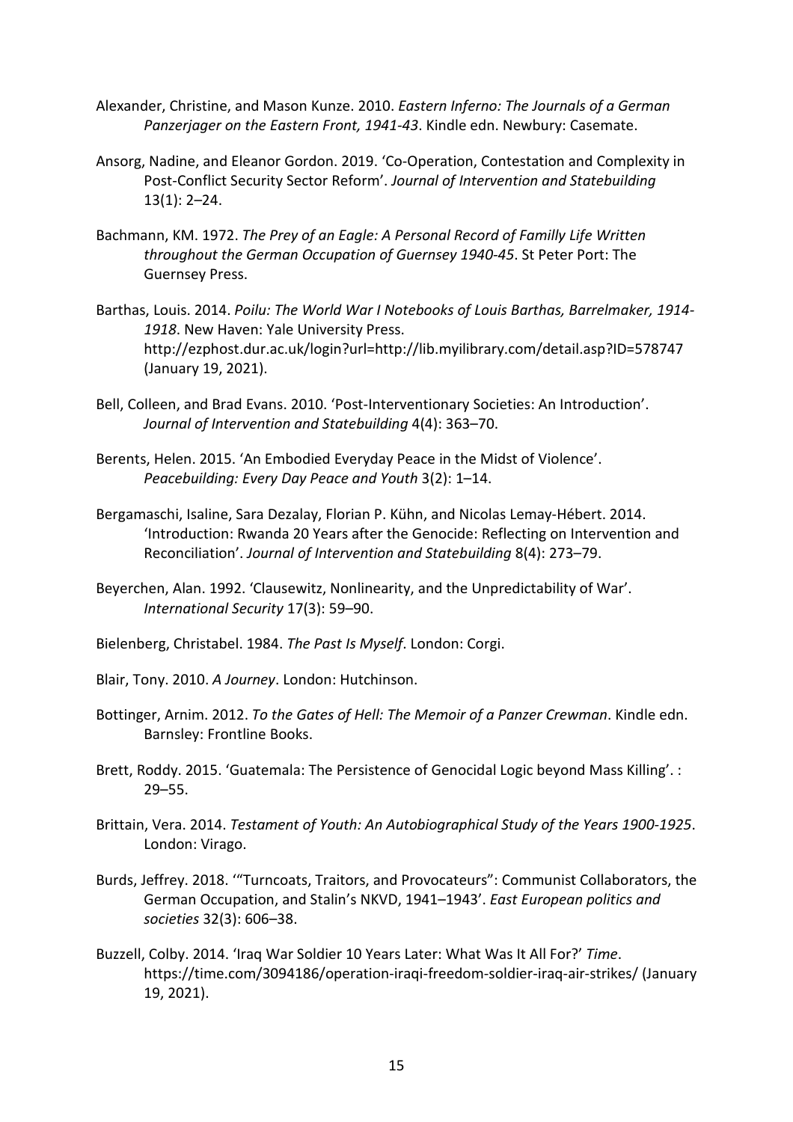- Alexander, Christine, and Mason Kunze. 2010. *Eastern Inferno: The Journals of a German Panzerjager on the Eastern Front, 1941-43*. Kindle edn. Newbury: Casemate.
- Ansorg, Nadine, and Eleanor Gordon. 2019. 'Co-Operation, Contestation and Complexity in Post-Conflict Security Sector Reform'. *Journal of Intervention and Statebuilding* 13(1): 2–24.
- Bachmann, KM. 1972. *The Prey of an Eagle: A Personal Record of Familly Life Written throughout the German Occupation of Guernsey 1940-45*. St Peter Port: The Guernsey Press.
- Barthas, Louis. 2014. *Poilu: The World War I Notebooks of Louis Barthas, Barrelmaker, 1914- 1918*. New Haven: Yale University Press. http://ezphost.dur.ac.uk/login?url=http://lib.myilibrary.com/detail.asp?ID=578747 (January 19, 2021).
- Bell, Colleen, and Brad Evans. 2010. 'Post-Interventionary Societies: An Introduction'. *Journal of Intervention and Statebuilding* 4(4): 363–70.
- Berents, Helen. 2015. 'An Embodied Everyday Peace in the Midst of Violence'. *Peacebuilding: Every Day Peace and Youth* 3(2): 1–14.
- Bergamaschi, Isaline, Sara Dezalay, Florian P. Kühn, and Nicolas Lemay-Hébert. 2014. 'Introduction: Rwanda 20 Years after the Genocide: Reflecting on Intervention and Reconciliation'. *Journal of Intervention and Statebuilding* 8(4): 273–79.
- Beyerchen, Alan. 1992. 'Clausewitz, Nonlinearity, and the Unpredictability of War'. *International Security* 17(3): 59–90.
- Bielenberg, Christabel. 1984. *The Past Is Myself*. London: Corgi.
- Blair, Tony. 2010. *A Journey*. London: Hutchinson.
- Bottinger, Arnim. 2012. *To the Gates of Hell: The Memoir of a Panzer Crewman*. Kindle edn. Barnsley: Frontline Books.
- Brett, Roddy. 2015. 'Guatemala: The Persistence of Genocidal Logic beyond Mass Killing'. : 29–55.
- Brittain, Vera. 2014. *Testament of Youth: An Autobiographical Study of the Years 1900-1925*. London: Virago.
- Burds, Jeffrey. 2018. '"Turncoats, Traitors, and Provocateurs": Communist Collaborators, the German Occupation, and Stalin's NKVD, 1941–1943'. *East European politics and societies* 32(3): 606–38.
- Buzzell, Colby. 2014. 'Iraq War Soldier 10 Years Later: What Was It All For?' *Time*. https://time.com/3094186/operation-iraqi-freedom-soldier-iraq-air-strikes/ (January 19, 2021).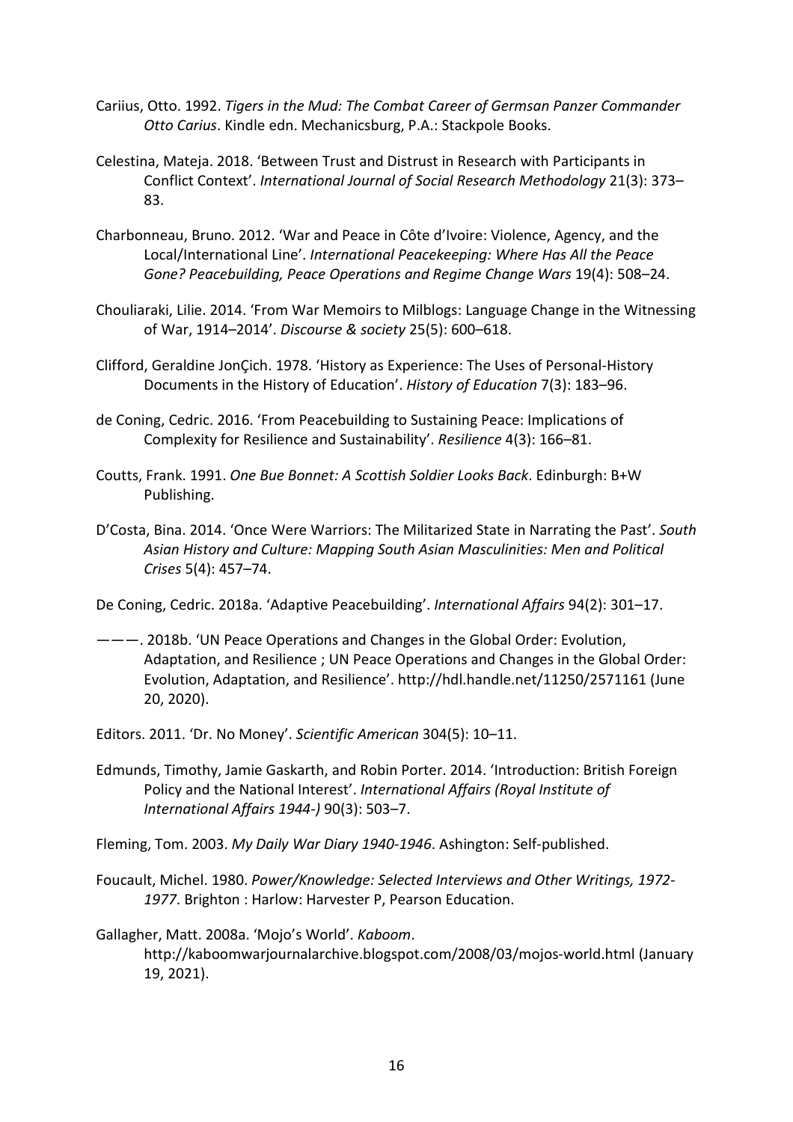- Cariius, Otto. 1992. *Tigers in the Mud: The Combat Career of Germsan Panzer Commander Otto Carius*. Kindle edn. Mechanicsburg, P.A.: Stackpole Books.
- Celestina, Mateja. 2018. 'Between Trust and Distrust in Research with Participants in Conflict Context'. *International Journal of Social Research Methodology* 21(3): 373– 83.
- Charbonneau, Bruno. 2012. 'War and Peace in Côte d'Ivoire: Violence, Agency, and the Local/International Line'. *International Peacekeeping: Where Has All the Peace Gone? Peacebuilding, Peace Operations and Regime Change Wars* 19(4): 508–24.
- Chouliaraki, Lilie. 2014. 'From War Memoirs to Milblogs: Language Change in the Witnessing of War, 1914–2014'. *Discourse & society* 25(5): 600–618.
- Clifford, Geraldine JonÇich. 1978. 'History as Experience: The Uses of Personal-History Documents in the History of Education'. *History of Education* 7(3): 183–96.
- de Coning, Cedric. 2016. 'From Peacebuilding to Sustaining Peace: Implications of Complexity for Resilience and Sustainability'. *Resilience* 4(3): 166–81.
- Coutts, Frank. 1991. *One Bue Bonnet: A Scottish Soldier Looks Back*. Edinburgh: B+W Publishing.
- D'Costa, Bina. 2014. 'Once Were Warriors: The Militarized State in Narrating the Past'. *South Asian History and Culture: Mapping South Asian Masculinities: Men and Political Crises* 5(4): 457–74.
- De Coning, Cedric. 2018a. 'Adaptive Peacebuilding'. *International Affairs* 94(2): 301–17.
- ———. 2018b. 'UN Peace Operations and Changes in the Global Order: Evolution, Adaptation, and Resilience ; UN Peace Operations and Changes in the Global Order: Evolution, Adaptation, and Resilience'. http://hdl.handle.net/11250/2571161 (June 20, 2020).
- Editors. 2011. 'Dr. No Money'. *Scientific American* 304(5): 10–11.
- Edmunds, Timothy, Jamie Gaskarth, and Robin Porter. 2014. 'Introduction: British Foreign Policy and the National Interest'. *International Affairs (Royal Institute of International Affairs 1944-)* 90(3): 503–7.
- Fleming, Tom. 2003. *My Daily War Diary 1940-1946*. Ashington: Self-published.
- Foucault, Michel. 1980. *Power/Knowledge: Selected Interviews and Other Writings, 1972- 1977*. Brighton : Harlow: Harvester P, Pearson Education.
- Gallagher, Matt. 2008a. 'Mojo's World'. *Kaboom*. http://kaboomwarjournalarchive.blogspot.com/2008/03/mojos-world.html (January 19, 2021).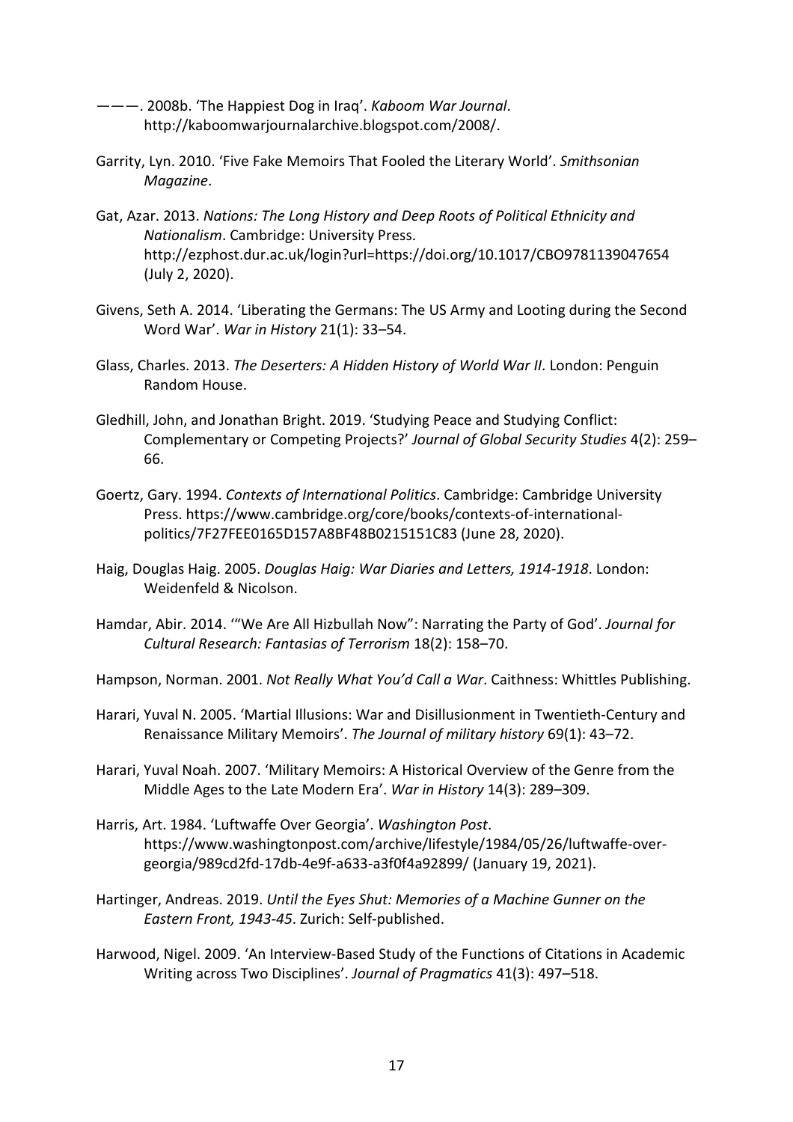———. 2008b. 'The Happiest Dog in Iraq'. *Kaboom War Journal*. http://kaboomwarjournalarchive.blogspot.com/2008/.

- Garrity, Lyn. 2010. 'Five Fake Memoirs That Fooled the Literary World'. *Smithsonian Magazine*.
- Gat, Azar. 2013. *Nations: The Long History and Deep Roots of Political Ethnicity and Nationalism*. Cambridge: University Press. http://ezphost.dur.ac.uk/login?url=https://doi.org/10.1017/CBO9781139047654 (July 2, 2020).
- Givens, Seth A. 2014. 'Liberating the Germans: The US Army and Looting during the Second Word War'. *War in History* 21(1): 33–54.
- Glass, Charles. 2013. *The Deserters: A Hidden History of World War II*. London: Penguin Random House.
- Gledhill, John, and Jonathan Bright. 2019. 'Studying Peace and Studying Conflict: Complementary or Competing Projects?' *Journal of Global Security Studies* 4(2): 259– 66.
- Goertz, Gary. 1994. *Contexts of International Politics*. Cambridge: Cambridge University Press. https://www.cambridge.org/core/books/contexts-of-internationalpolitics/7F27FEE0165D157A8BF48B0215151C83 (June 28, 2020).
- Haig, Douglas Haig. 2005. *Douglas Haig: War Diaries and Letters, 1914-1918*. London: Weidenfeld & Nicolson.
- Hamdar, Abir. 2014. '"We Are All Hizbullah Now": Narrating the Party of God'. *Journal for Cultural Research: Fantasias of Terrorism* 18(2): 158–70.

Hampson, Norman. 2001. *Not Really What You'd Call a War*. Caithness: Whittles Publishing.

- Harari, Yuval N. 2005. 'Martial Illusions: War and Disillusionment in Twentieth-Century and Renaissance Military Memoirs'. *The Journal of military history* 69(1): 43–72.
- Harari, Yuval Noah. 2007. 'Military Memoirs: A Historical Overview of the Genre from the Middle Ages to the Late Modern Era'. *War in History* 14(3): 289–309.
- Harris, Art. 1984. 'Luftwaffe Over Georgia'. *Washington Post*. https://www.washingtonpost.com/archive/lifestyle/1984/05/26/luftwaffe-overgeorgia/989cd2fd-17db-4e9f-a633-a3f0f4a92899/ (January 19, 2021).
- Hartinger, Andreas. 2019. *Until the Eyes Shut: Memories of a Machine Gunner on the Eastern Front, 1943-45*. Zurich: Self-published.
- Harwood, Nigel. 2009. 'An Interview-Based Study of the Functions of Citations in Academic Writing across Two Disciplines'. *Journal of Pragmatics* 41(3): 497–518.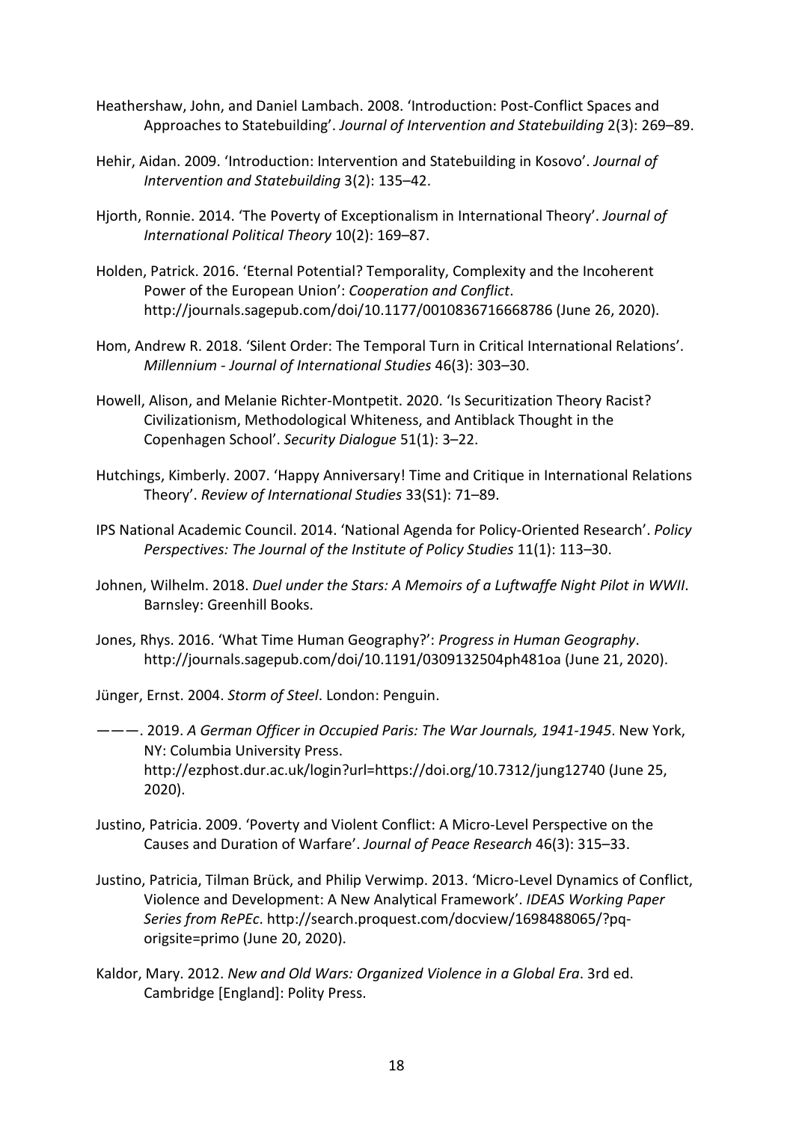- Heathershaw, John, and Daniel Lambach. 2008. 'Introduction: Post-Conflict Spaces and Approaches to Statebuilding'. *Journal of Intervention and Statebuilding* 2(3): 269–89.
- Hehir, Aidan. 2009. 'Introduction: Intervention and Statebuilding in Kosovo'. *Journal of Intervention and Statebuilding* 3(2): 135–42.
- Hjorth, Ronnie. 2014. 'The Poverty of Exceptionalism in International Theory'. *Journal of International Political Theory* 10(2): 169–87.
- Holden, Patrick. 2016. 'Eternal Potential? Temporality, Complexity and the Incoherent Power of the European Union': *Cooperation and Conflict*. http://journals.sagepub.com/doi/10.1177/0010836716668786 (June 26, 2020).
- Hom, Andrew R. 2018. 'Silent Order: The Temporal Turn in Critical International Relations'. *Millennium - Journal of International Studies* 46(3): 303–30.
- Howell, Alison, and Melanie Richter-Montpetit. 2020. 'Is Securitization Theory Racist? Civilizationism, Methodological Whiteness, and Antiblack Thought in the Copenhagen School'. *Security Dialogue* 51(1): 3–22.
- Hutchings, Kimberly. 2007. 'Happy Anniversary! Time and Critique in International Relations Theory'. *Review of International Studies* 33(S1): 71–89.
- IPS National Academic Council. 2014. 'National Agenda for Policy-Oriented Research'. *Policy Perspectives: The Journal of the Institute of Policy Studies* 11(1): 113–30.
- Johnen, Wilhelm. 2018. *Duel under the Stars: A Memoirs of a Luftwaffe Night Pilot in WWII*. Barnsley: Greenhill Books.
- Jones, Rhys. 2016. 'What Time Human Geography?': *Progress in Human Geography*. http://journals.sagepub.com/doi/10.1191/0309132504ph481oa (June 21, 2020).
- Jünger, Ernst. 2004. *Storm of Steel*. London: Penguin.
- ———. 2019. *A German Officer in Occupied Paris: The War Journals, 1941-1945*. New York, NY: Columbia University Press. http://ezphost.dur.ac.uk/login?url=https://doi.org/10.7312/jung12740 (June 25, 2020).
- Justino, Patricia. 2009. 'Poverty and Violent Conflict: A Micro-Level Perspective on the Causes and Duration of Warfare'. *Journal of Peace Research* 46(3): 315–33.
- Justino, Patricia, Tilman Brück, and Philip Verwimp. 2013. 'Micro-Level Dynamics of Conflict, Violence and Development: A New Analytical Framework'. *IDEAS Working Paper Series from RePEc*. http://search.proquest.com/docview/1698488065/?pqorigsite=primo (June 20, 2020).
- Kaldor, Mary. 2012. *New and Old Wars: Organized Violence in a Global Era*. 3rd ed. Cambridge [England]: Polity Press.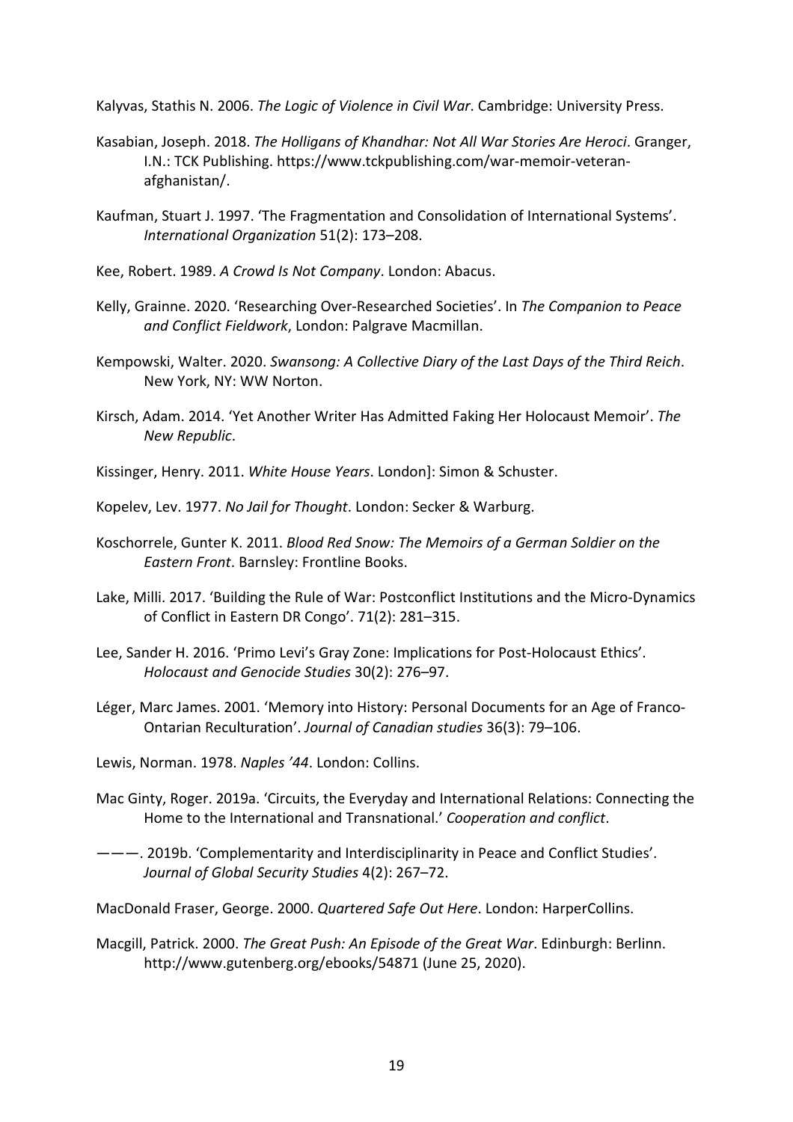Kalyvas, Stathis N. 2006. *The Logic of Violence in Civil War*. Cambridge: University Press.

- Kasabian, Joseph. 2018. *The Holligans of Khandhar: Not All War Stories Are Heroci*. Granger, I.N.: TCK Publishing. https://www.tckpublishing.com/war-memoir-veteranafghanistan/.
- Kaufman, Stuart J. 1997. 'The Fragmentation and Consolidation of International Systems'. *International Organization* 51(2): 173–208.
- Kee, Robert. 1989. *A Crowd Is Not Company*. London: Abacus.
- Kelly, Grainne. 2020. 'Researching Over-Researched Societies'. In *The Companion to Peace and Conflict Fieldwork*, London: Palgrave Macmillan.
- Kempowski, Walter. 2020. *Swansong: A Collective Diary of the Last Days of the Third Reich*. New York, NY: WW Norton.
- Kirsch, Adam. 2014. 'Yet Another Writer Has Admitted Faking Her Holocaust Memoir'. *The New Republic*.
- Kissinger, Henry. 2011. *White House Years*. London]: Simon & Schuster.
- Kopelev, Lev. 1977. *No Jail for Thought*. London: Secker & Warburg.
- Koschorrele, Gunter K. 2011. *Blood Red Snow: The Memoirs of a German Soldier on the Eastern Front*. Barnsley: Frontline Books.
- Lake, Milli. 2017. 'Building the Rule of War: Postconflict Institutions and the Micro-Dynamics of Conflict in Eastern DR Congo'. 71(2): 281–315.
- Lee, Sander H. 2016. 'Primo Levi's Gray Zone: Implications for Post-Holocaust Ethics'. *Holocaust and Genocide Studies* 30(2): 276–97.
- Léger, Marc James. 2001. 'Memory into History: Personal Documents for an Age of Franco-Ontarian Reculturation'. *Journal of Canadian studies* 36(3): 79–106.
- Lewis, Norman. 1978. *Naples '44*. London: Collins.
- Mac Ginty, Roger. 2019a. 'Circuits, the Everyday and International Relations: Connecting the Home to the International and Transnational.' *Cooperation and conflict*.
- ———. 2019b. 'Complementarity and Interdisciplinarity in Peace and Conflict Studies'. *Journal of Global Security Studies* 4(2): 267–72.
- MacDonald Fraser, George. 2000. *Quartered Safe Out Here*. London: HarperCollins.
- Macgill, Patrick. 2000. *The Great Push: An Episode of the Great War*. Edinburgh: Berlinn. http://www.gutenberg.org/ebooks/54871 (June 25, 2020).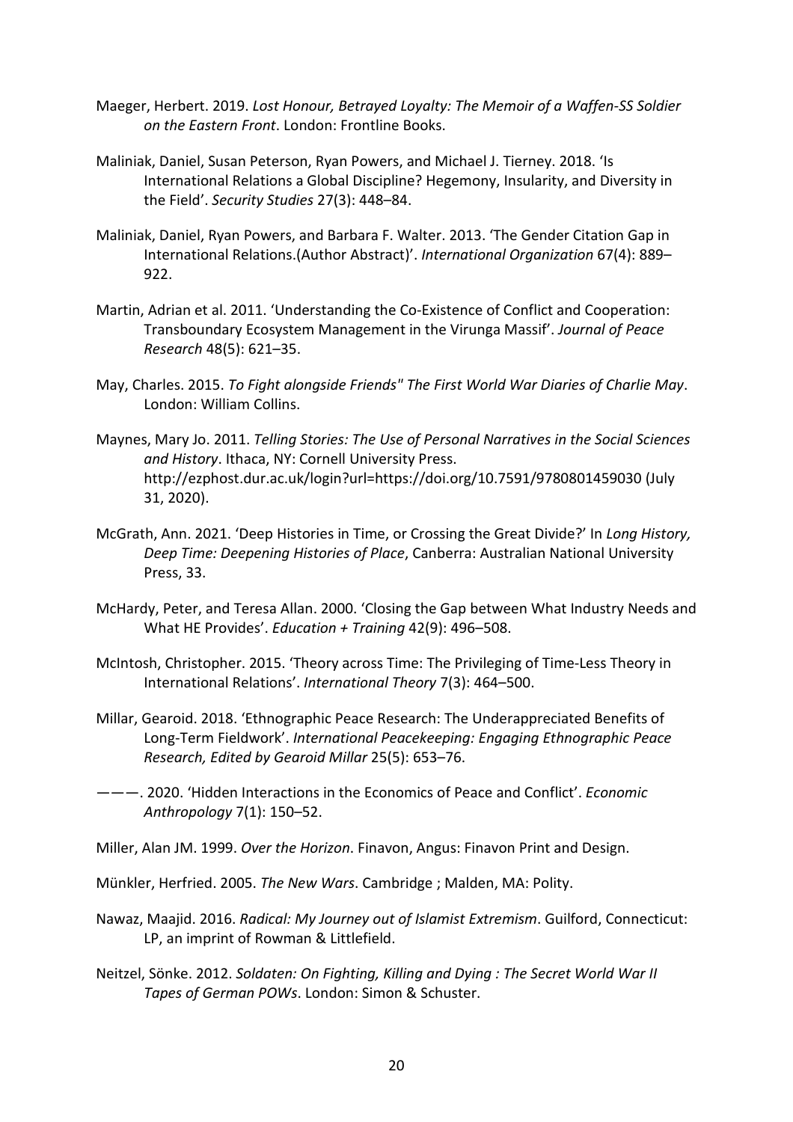- Maeger, Herbert. 2019. *Lost Honour, Betrayed Loyalty: The Memoir of a Waffen-SS Soldier on the Eastern Front*. London: Frontline Books.
- Maliniak, Daniel, Susan Peterson, Ryan Powers, and Michael J. Tierney. 2018. 'Is International Relations a Global Discipline? Hegemony, Insularity, and Diversity in the Field'. *Security Studies* 27(3): 448–84.
- Maliniak, Daniel, Ryan Powers, and Barbara F. Walter. 2013. 'The Gender Citation Gap in International Relations.(Author Abstract)'. *International Organization* 67(4): 889– 922.
- Martin, Adrian et al. 2011. 'Understanding the Co-Existence of Conflict and Cooperation: Transboundary Ecosystem Management in the Virunga Massif'. *Journal of Peace Research* 48(5): 621–35.
- May, Charles. 2015. *To Fight alongside Friends" The First World War Diaries of Charlie May*. London: William Collins.
- Maynes, Mary Jo. 2011. *Telling Stories: The Use of Personal Narratives in the Social Sciences and History*. Ithaca, NY: Cornell University Press. http://ezphost.dur.ac.uk/login?url=https://doi.org/10.7591/9780801459030 (July 31, 2020).
- McGrath, Ann. 2021. 'Deep Histories in Time, or Crossing the Great Divide?' In *Long History, Deep Time: Deepening Histories of Place*, Canberra: Australian National University Press, 33.
- McHardy, Peter, and Teresa Allan. 2000. 'Closing the Gap between What Industry Needs and What HE Provides'. *Education + Training* 42(9): 496–508.
- McIntosh, Christopher. 2015. 'Theory across Time: The Privileging of Time-Less Theory in International Relations'. *International Theory* 7(3): 464–500.
- Millar, Gearoid. 2018. 'Ethnographic Peace Research: The Underappreciated Benefits of Long-Term Fieldwork'. *International Peacekeeping: Engaging Ethnographic Peace Research, Edited by Gearoid Millar* 25(5): 653–76.
- ———. 2020. 'Hidden Interactions in the Economics of Peace and Conflict'. *Economic Anthropology* 7(1): 150–52.
- Miller, Alan JM. 1999. *Over the Horizon*. Finavon, Angus: Finavon Print and Design.
- Münkler, Herfried. 2005. *The New Wars*. Cambridge ; Malden, MA: Polity.
- Nawaz, Maajid. 2016. *Radical: My Journey out of Islamist Extremism*. Guilford, Connecticut: LP, an imprint of Rowman & Littlefield.
- Neitzel, Sönke. 2012. *Soldaten: On Fighting, Killing and Dying : The Secret World War II Tapes of German POWs*. London: Simon & Schuster.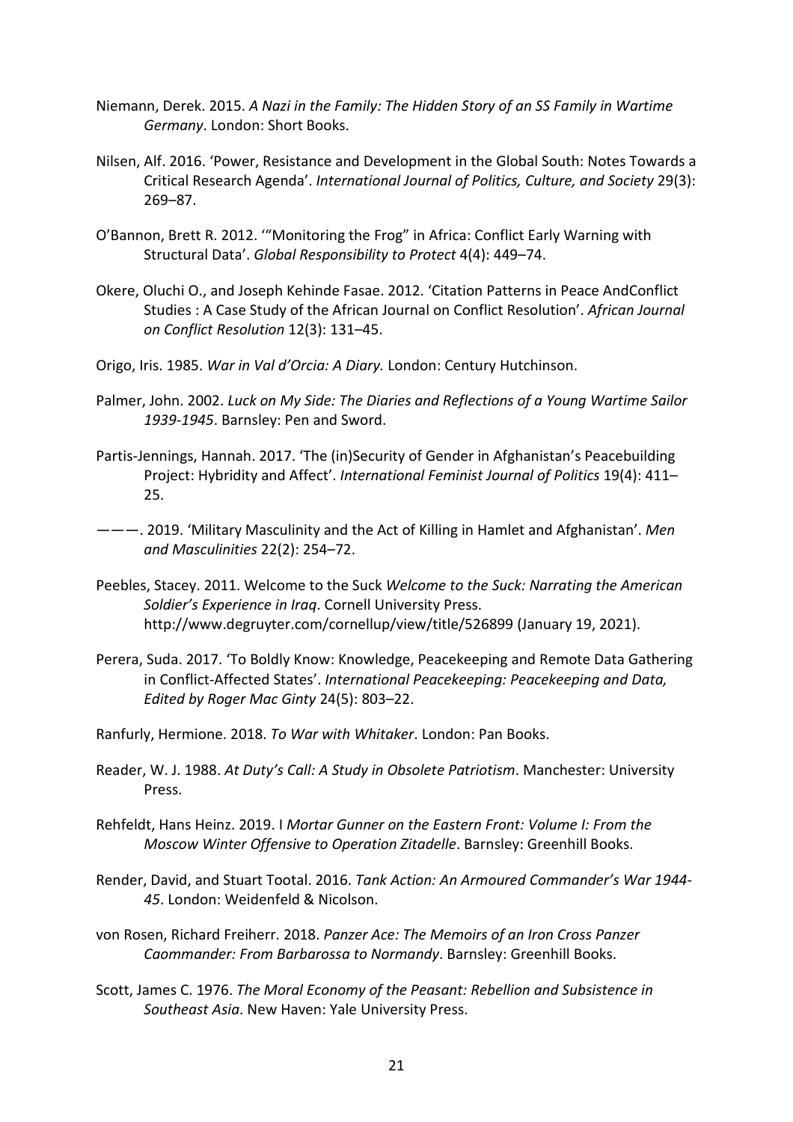- Niemann, Derek. 2015. *A Nazi in the Family: The Hidden Story of an SS Family in Wartime Germany*. London: Short Books.
- Nilsen, Alf. 2016. 'Power, Resistance and Development in the Global South: Notes Towards a Critical Research Agenda'. *International Journal of Politics, Culture, and Society* 29(3): 269–87.
- O'Bannon, Brett R. 2012. '"Monitoring the Frog" in Africa: Conflict Early Warning with Structural Data'. *Global Responsibility to Protect* 4(4): 449–74.
- Okere, Oluchi O., and Joseph Kehinde Fasae. 2012. 'Citation Patterns in Peace AndConflict Studies : A Case Study of the African Journal on Conflict Resolution'. *African Journal on Conflict Resolution* 12(3): 131–45.
- Origo, Iris. 1985. *War in Val d'Orcia: A Diary.* London: Century Hutchinson.
- Palmer, John. 2002. *Luck on My Side: The Diaries and Reflections of a Young Wartime Sailor 1939-1945*. Barnsley: Pen and Sword.
- Partis-Jennings, Hannah. 2017. 'The (in)Security of Gender in Afghanistan's Peacebuilding Project: Hybridity and Affect'. *International Feminist Journal of Politics* 19(4): 411– 25.
- ———. 2019. 'Military Masculinity and the Act of Killing in Hamlet and Afghanistan'. *Men and Masculinities* 22(2): 254–72.
- Peebles, Stacey. 2011. Welcome to the Suck *Welcome to the Suck: Narrating the American Soldier's Experience in Iraq*. Cornell University Press. http://www.degruyter.com/cornellup/view/title/526899 (January 19, 2021).
- Perera, Suda. 2017. 'To Boldly Know: Knowledge, Peacekeeping and Remote Data Gathering in Conflict-Affected States'. *International Peacekeeping: Peacekeeping and Data, Edited by Roger Mac Ginty* 24(5): 803–22.
- Ranfurly, Hermione. 2018. *To War with Whitaker*. London: Pan Books.
- Reader, W. J. 1988. *At Duty's Call: A Study in Obsolete Patriotism*. Manchester: University Press.
- Rehfeldt, Hans Heinz. 2019. I *Mortar Gunner on the Eastern Front: Volume I: From the Moscow Winter Offensive to Operation Zitadelle*. Barnsley: Greenhill Books.
- Render, David, and Stuart Tootal. 2016. *Tank Action: An Armoured Commander's War 1944- 45*. London: Weidenfeld & Nicolson.
- von Rosen, Richard Freiherr. 2018. *Panzer Ace: The Memoirs of an Iron Cross Panzer Caommander: From Barbarossa to Normandy*. Barnsley: Greenhill Books.
- Scott, James C. 1976. *The Moral Economy of the Peasant: Rebellion and Subsistence in Southeast Asia*. New Haven: Yale University Press.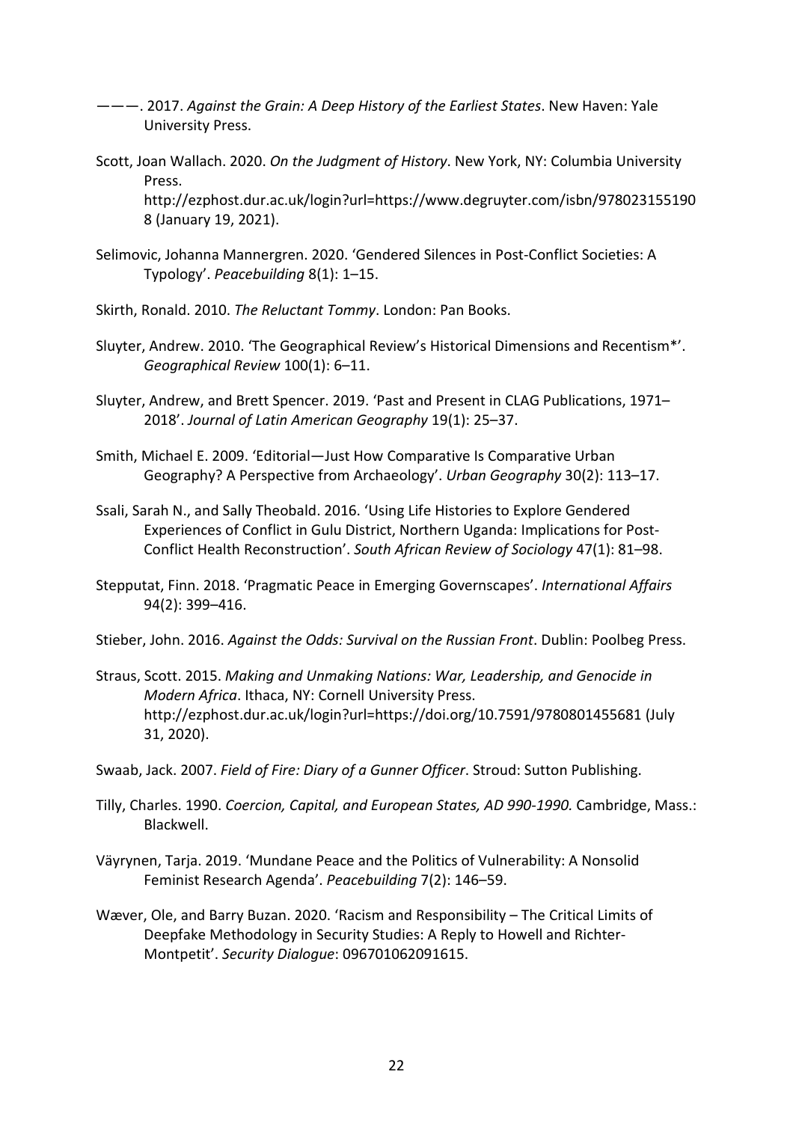- ———. 2017. *Against the Grain: A Deep History of the Earliest States*. New Haven: Yale University Press.
- Scott, Joan Wallach. 2020. *On the Judgment of History*. New York, NY: Columbia University Press.

http://ezphost.dur.ac.uk/login?url=https://www.degruyter.com/isbn/978023155190 8 (January 19, 2021).

- Selimovic, Johanna Mannergren. 2020. 'Gendered Silences in Post-Conflict Societies: A Typology'. *Peacebuilding* 8(1): 1–15.
- Skirth, Ronald. 2010. *The Reluctant Tommy*. London: Pan Books.
- Sluyter, Andrew. 2010. 'The Geographical Review's Historical Dimensions and Recentism\*'. *Geographical Review* 100(1): 6–11.
- Sluyter, Andrew, and Brett Spencer. 2019. 'Past and Present in CLAG Publications, 1971– 2018'. *Journal of Latin American Geography* 19(1): 25–37.
- Smith, Michael E. 2009. 'Editorial—Just How Comparative Is Comparative Urban Geography? A Perspective from Archaeology'. *Urban Geography* 30(2): 113–17.
- Ssali, Sarah N., and Sally Theobald. 2016. 'Using Life Histories to Explore Gendered Experiences of Conflict in Gulu District, Northern Uganda: Implications for Post-Conflict Health Reconstruction'. *South African Review of Sociology* 47(1): 81–98.
- Stepputat, Finn. 2018. 'Pragmatic Peace in Emerging Governscapes'. *International Affairs* 94(2): 399–416.

Stieber, John. 2016. *Against the Odds: Survival on the Russian Front*. Dublin: Poolbeg Press.

- Straus, Scott. 2015. *Making and Unmaking Nations: War, Leadership, and Genocide in Modern Africa*. Ithaca, NY: Cornell University Press. http://ezphost.dur.ac.uk/login?url=https://doi.org/10.7591/9780801455681 (July 31, 2020).
- Swaab, Jack. 2007. *Field of Fire: Diary of a Gunner Officer*. Stroud: Sutton Publishing.
- Tilly, Charles. 1990. *Coercion, Capital, and European States, AD 990-1990.* Cambridge, Mass.: Blackwell.
- Väyrynen, Tarja. 2019. 'Mundane Peace and the Politics of Vulnerability: A Nonsolid Feminist Research Agenda'. *Peacebuilding* 7(2): 146–59.
- Wæver, Ole, and Barry Buzan. 2020. 'Racism and Responsibility The Critical Limits of Deepfake Methodology in Security Studies: A Reply to Howell and Richter-Montpetit'. *Security Dialogue*: 096701062091615.